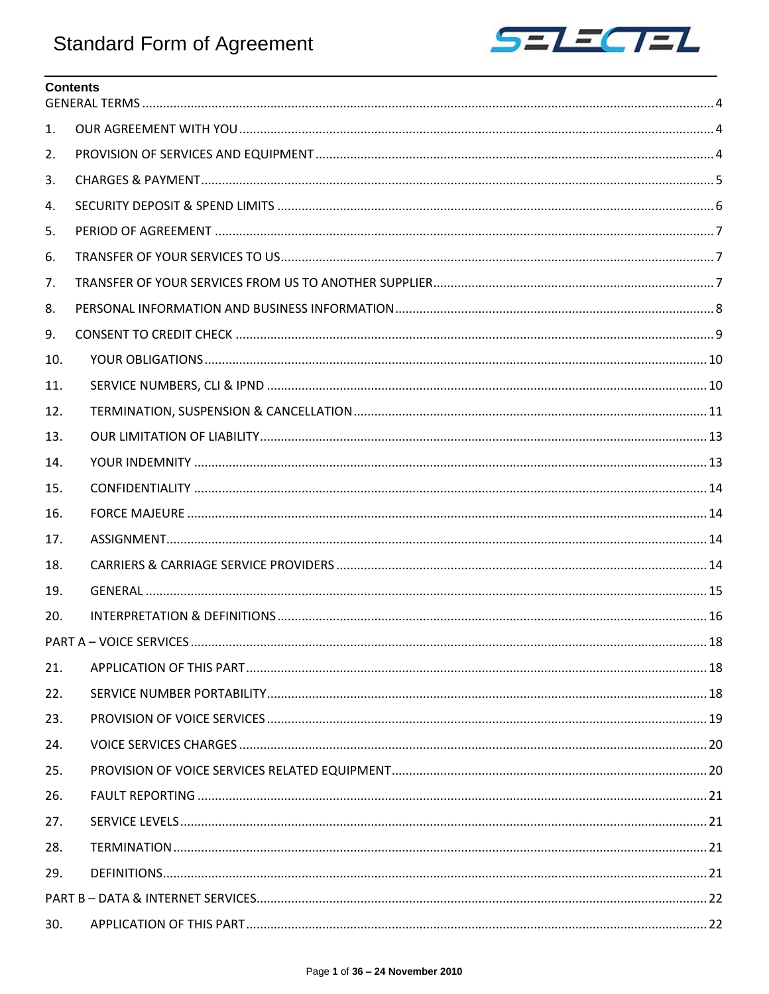

# **Contents**

| 1.  |  |  |
|-----|--|--|
| 2.  |  |  |
| 3.  |  |  |
| 4.  |  |  |
| 5.  |  |  |
| 6.  |  |  |
| 7.  |  |  |
| 8.  |  |  |
| 9.  |  |  |
| 10. |  |  |
| 11. |  |  |
| 12. |  |  |
| 13. |  |  |
| 14. |  |  |
| 15. |  |  |
| 16. |  |  |
| 17. |  |  |
| 18. |  |  |
| 19. |  |  |
| 20. |  |  |
|     |  |  |
| 21. |  |  |
| 22. |  |  |
| 23. |  |  |
| 24. |  |  |
| 25. |  |  |
| 26. |  |  |
| 27. |  |  |
| 28. |  |  |
| 29. |  |  |
|     |  |  |
| 30. |  |  |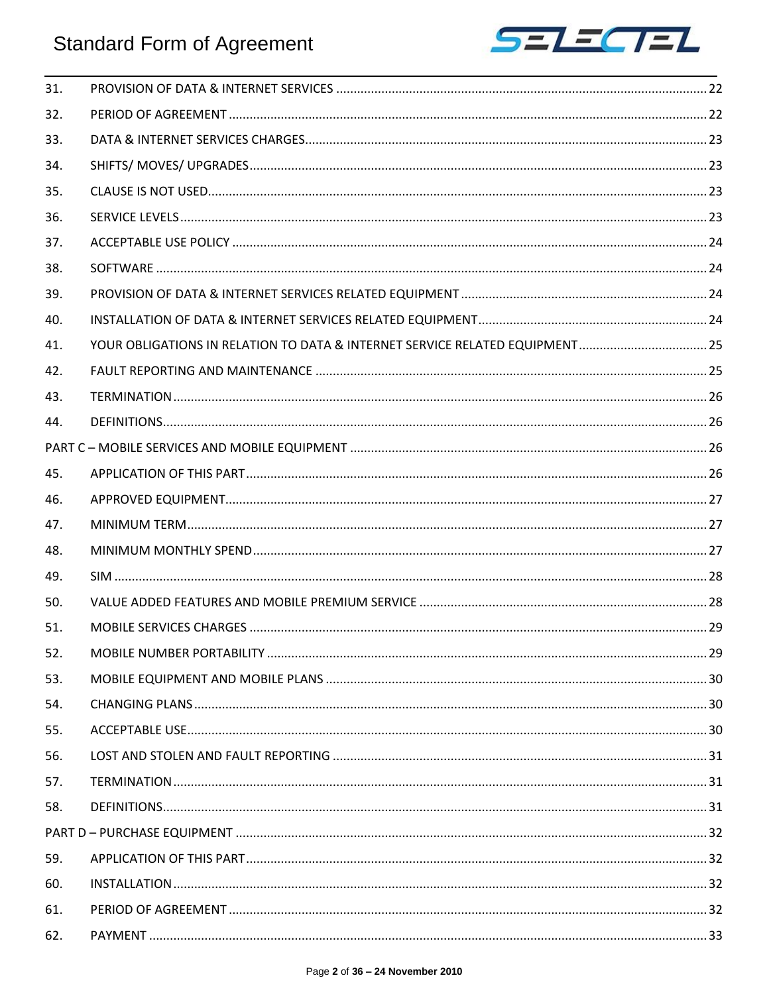

| 31. |                                                                             |  |
|-----|-----------------------------------------------------------------------------|--|
| 32. |                                                                             |  |
| 33. |                                                                             |  |
| 34. |                                                                             |  |
| 35. |                                                                             |  |
| 36. |                                                                             |  |
| 37. |                                                                             |  |
| 38. |                                                                             |  |
| 39. |                                                                             |  |
| 40. |                                                                             |  |
| 41. | YOUR OBLIGATIONS IN RELATION TO DATA & INTERNET SERVICE RELATED EQUIPMENT25 |  |
| 42. |                                                                             |  |
| 43. |                                                                             |  |
| 44. |                                                                             |  |
|     |                                                                             |  |
| 45. |                                                                             |  |
| 46. |                                                                             |  |
| 47. |                                                                             |  |
| 48. |                                                                             |  |
| 49. |                                                                             |  |
| 50. |                                                                             |  |
| 51. |                                                                             |  |
| 52. |                                                                             |  |
| 53. |                                                                             |  |
| 54. |                                                                             |  |
| 55. |                                                                             |  |
| 56. |                                                                             |  |
| 57. |                                                                             |  |
| 58. |                                                                             |  |
|     |                                                                             |  |
| 59. |                                                                             |  |
| 60. |                                                                             |  |
| 61. |                                                                             |  |
| 62. |                                                                             |  |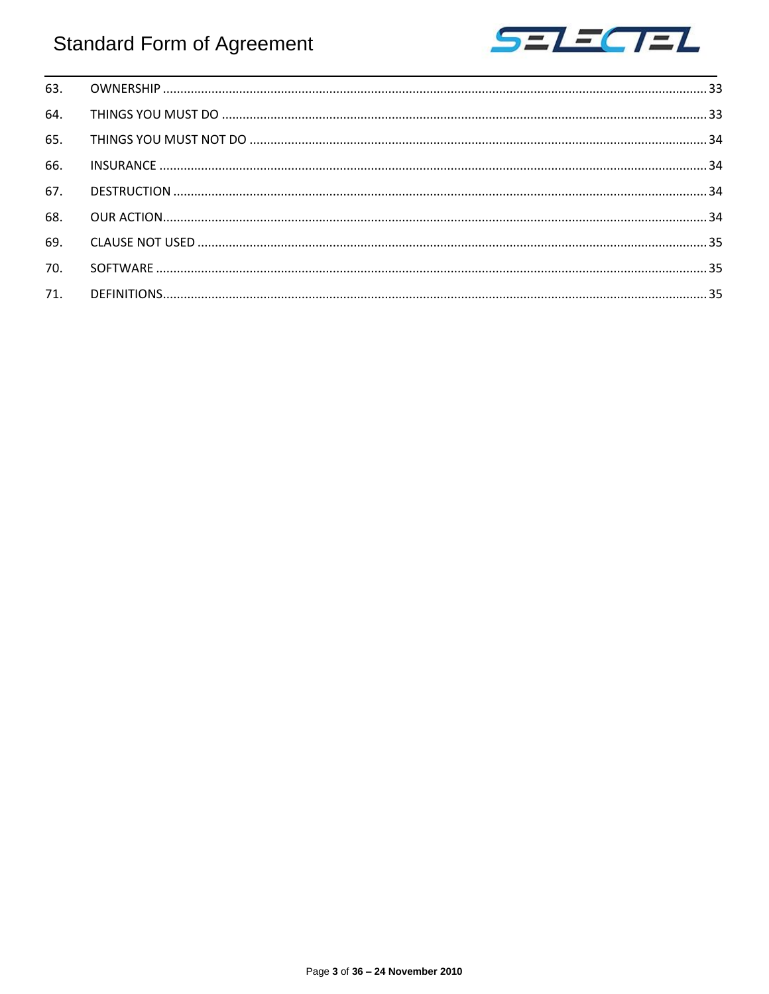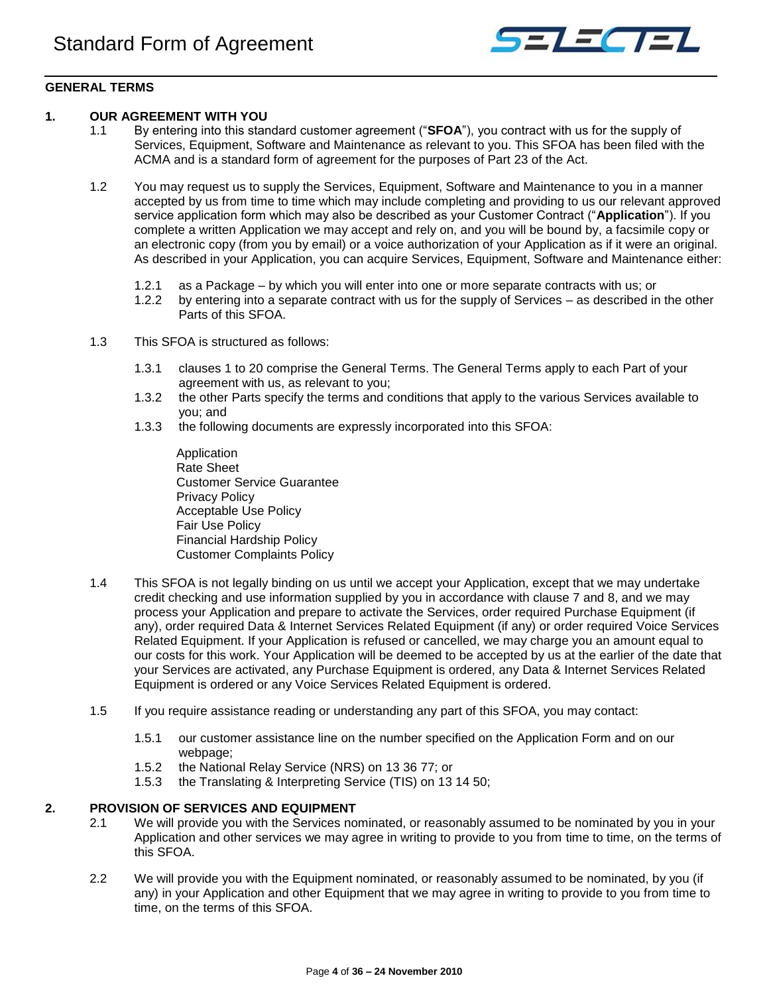

## <span id="page-3-0"></span>**GENERAL TERMS**

## <span id="page-3-1"></span>**1. OUR AGREEMENT WITH YOU**

- 1.1 By entering into this standard customer agreement ("**SFOA**"), you contract with us for the supply of Services, Equipment, Software and Maintenance as relevant to you. This SFOA has been filed with the ACMA and is a standard form of agreement for the purposes of Part 23 of the Act.
- 1.2 You may request us to supply the Services, Equipment, Software and Maintenance to you in a manner accepted by us from time to time which may include completing and providing to us our relevant approved service application form which may also be described as your Customer Contract ("**Application**"). If you complete a written Application we may accept and rely on, and you will be bound by, a facsimile copy or an electronic copy (from you by email) or a voice authorization of your Application as if it were an original. As described in your Application, you can acquire Services, Equipment, Software and Maintenance either:
	- 1.2.1 as a Package by which you will enter into one or more separate contracts with us; or
	- 1.2.2 by entering into a separate contract with us for the supply of Services as described in the other Parts of this SFOA.
- 1.3 This SFOA is structured as follows:
	- 1.3.1 clauses 1 to 20 comprise the General Terms. The General Terms apply to each Part of your agreement with us, as relevant to you;
	- 1.3.2 the other Parts specify the terms and conditions that apply to the various Services available to you; and
	- 1.3.3 the following documents are expressly incorporated into this SFOA:
		- Application Rate Sheet Customer Service Guarantee Privacy Policy Acceptable Use Policy Fair Use Policy Financial Hardship Policy Customer Complaints Policy
- 1.4 This SFOA is not legally binding on us until we accept your Application, except that we may undertake credit checking and use information supplied by you in accordance with clause 7 and 8, and we may process your Application and prepare to activate the Services, order required Purchase Equipment (if any), order required Data & Internet Services Related Equipment (if any) or order required Voice Services Related Equipment. If your Application is refused or cancelled, we may charge you an amount equal to our costs for this work. Your Application will be deemed to be accepted by us at the earlier of the date that your Services are activated, any Purchase Equipment is ordered, any Data & Internet Services Related Equipment is ordered or any Voice Services Related Equipment is ordered.
- 1.5 If you require assistance reading or understanding any part of this SFOA, you may contact:
	- 1.5.1 our customer assistance line on the number specified on the Application Form and on our webpage;
	- 1.5.2 the National Relay Service (NRS) on 13 36 77; or
	- 1.5.3 the Translating & Interpreting Service (TIS) on 13 14 50;

## <span id="page-3-2"></span>**2. PROVISION OF SERVICES AND EQUIPMENT**

- 2.1 We will provide you with the Services nominated, or reasonably assumed to be nominated by you in your Application and other services we may agree in writing to provide to you from time to time, on the terms of this SFOA.
- 2.2 We will provide you with the Equipment nominated, or reasonably assumed to be nominated, by you (if any) in your Application and other Equipment that we may agree in writing to provide to you from time to time, on the terms of this SFOA.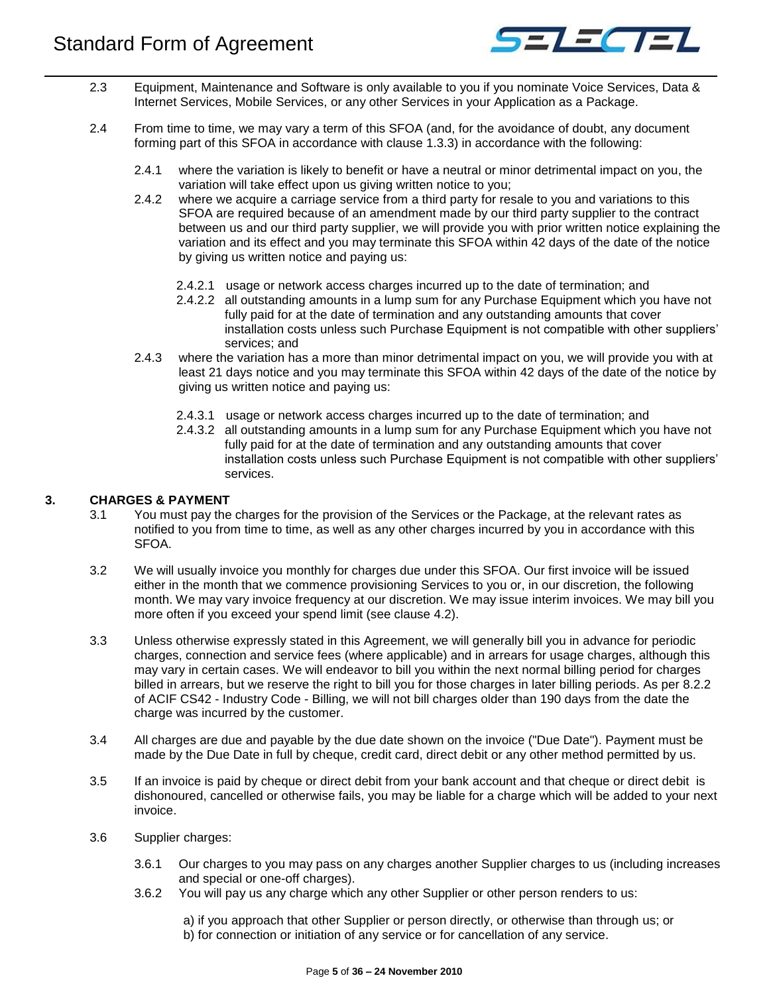

- 2.3 Equipment, Maintenance and Software is only available to you if you nominate Voice Services, Data & Internet Services, Mobile Services, or any other Services in your Application as a Package.
- <span id="page-4-1"></span>2.4 From time to time, we may vary a term of this SFOA (and, for the avoidance of doubt, any document forming part of this SFOA in accordance with clause 1.3.3) in accordance with the following:
	- 2.4.1 where the variation is likely to benefit or have a neutral or minor detrimental impact on you, the variation will take effect upon us giving written notice to you;
	- 2.4.2 where we acquire a carriage service from a third party for resale to you and variations to this SFOA are required because of an amendment made by our third party supplier to the contract between us and our third party supplier, we will provide you with prior written notice explaining the variation and its effect and you may terminate this SFOA within 42 days of the date of the notice by giving us written notice and paying us:
		- 2.4.2.1 usage or network access charges incurred up to the date of termination; and
		- 2.4.2.2 all outstanding amounts in a lump sum for any Purchase Equipment which you have not fully paid for at the date of termination and any outstanding amounts that cover installation costs unless such Purchase Equipment is not compatible with other suppliers' services; and
	- 2.4.3 where the variation has a more than minor detrimental impact on you, we will provide you with at least 21 days notice and you may terminate this SFOA within 42 days of the date of the notice by giving us written notice and paying us:
		- 2.4.3.1 usage or network access charges incurred up to the date of termination; and
		- 2.4.3.2 all outstanding amounts in a lump sum for any Purchase Equipment which you have not fully paid for at the date of termination and any outstanding amounts that cover installation costs unless such Purchase Equipment is not compatible with other suppliers' services.

## <span id="page-4-0"></span>**3. CHARGES & PAYMENT**

- 3.1 You must pay the charges for the provision of the Services or the Package, at the relevant rates as notified to you from time to time, as well as any other charges incurred by you in accordance with this SFOA.
- 3.2 We will usually invoice you monthly for charges due under this SFOA. Our first invoice will be issued either in the month that we commence provisioning Services to you or, in our discretion, the following month. We may vary invoice frequency at our discretion. We may issue interim invoices. We may bill you more often if you exceed your spend limit (see clause 4.2).
- 3.3 Unless otherwise expressly stated in this Agreement, we will generally bill you in advance for periodic charges, connection and service fees (where applicable) and in arrears for usage charges, although this may vary in certain cases. We will endeavor to bill you within the next normal billing period for charges billed in arrears, but we reserve the right to bill you for those charges in later billing periods. As per 8.2.2 of ACIF CS42 - Industry Code - Billing, we will not bill charges older than 190 days from the date the charge was incurred by the customer.
- 3.4 All charges are due and payable by the due date shown on the invoice ("Due Date"). Payment must be made by the Due Date in full by cheque, credit card, direct debit or any other method permitted by us.
- 3.5 If an invoice is paid by cheque or direct debit from your bank account and that cheque or direct debit is dishonoured, cancelled or otherwise fails, you may be liable for a charge which will be added to your next invoice.
- 3.6 Supplier charges:
	- 3.6.1 Our charges to you may pass on any charges another Supplier charges to us (including increases and special or one-off charges).
	- 3.6.2 You will pay us any charge which any other Supplier or other person renders to us:

a) if you approach that other Supplier or person directly, or otherwise than through us; or b) for connection or initiation of any service or for cancellation of any service.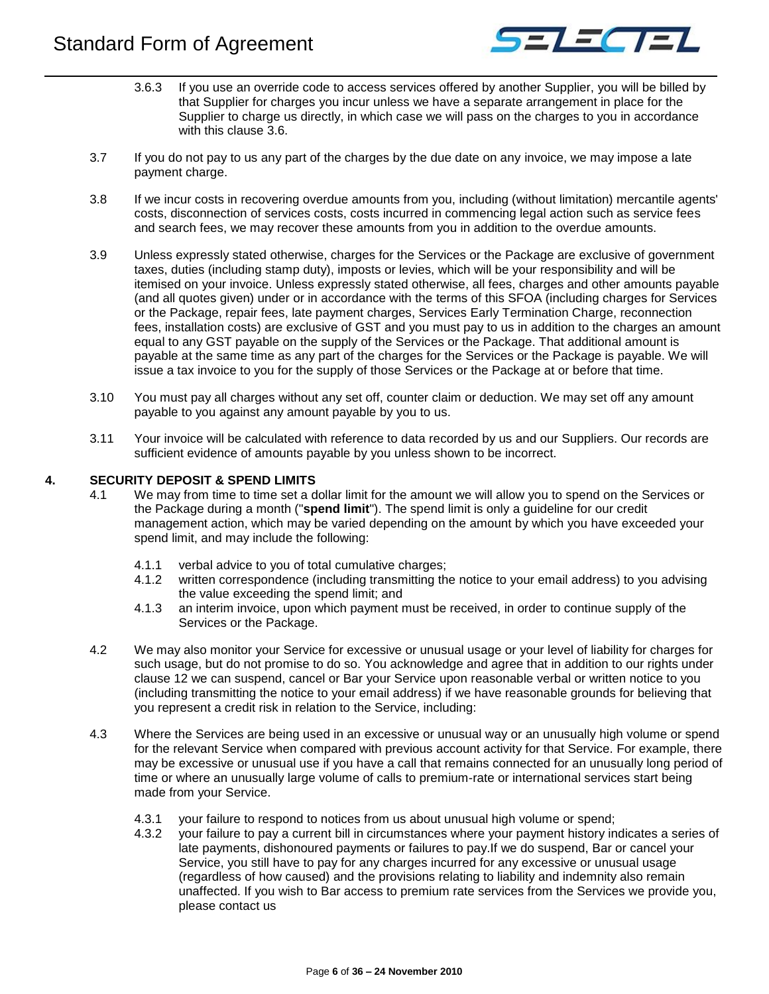

- 3.6.3 If you use an override code to access services offered by another Supplier, you will be billed by that Supplier for charges you incur unless we have a separate arrangement in place for the Supplier to charge us directly, in which case we will pass on the charges to you in accordance with this clause 3.6.
- 3.7 If you do not pay to us any part of the charges by the due date on any invoice, we may impose a late payment charge.
- 3.8 If we incur costs in recovering overdue amounts from you, including (without limitation) mercantile agents' costs, disconnection of services costs, costs incurred in commencing legal action such as service fees and search fees, we may recover these amounts from you in addition to the overdue amounts.
- 3.9 Unless expressly stated otherwise, charges for the Services or the Package are exclusive of government taxes, duties (including stamp duty), imposts or levies, which will be your responsibility and will be itemised on your invoice. Unless expressly stated otherwise, all fees, charges and other amounts payable (and all quotes given) under or in accordance with the terms of this SFOA (including charges for Services or the Package, repair fees, late payment charges, Services Early Termination Charge, reconnection fees, installation costs) are exclusive of GST and you must pay to us in addition to the charges an amount equal to any GST payable on the supply of the Services or the Package. That additional amount is payable at the same time as any part of the charges for the Services or the Package is payable. We will issue a tax invoice to you for the supply of those Services or the Package at or before that time.
- 3.10 You must pay all charges without any set off, counter claim or deduction. We may set off any amount payable to you against any amount payable by you to us.
- 3.11 Your invoice will be calculated with reference to data recorded by us and our Suppliers. Our records are sufficient evidence of amounts payable by you unless shown to be incorrect.

## <span id="page-5-0"></span>**4. SECURITY DEPOSIT & SPEND LIMITS**

- 4.1 We may from time to time set a dollar limit for the amount we will allow you to spend on the Services or the Package during a month ("**spend limit**"). The spend limit is only a guideline for our credit management action, which may be varied depending on the amount by which you have exceeded your spend limit, and may include the following:
	- 4.1.1 verbal advice to you of total cumulative charges;
	- 4.1.2 written correspondence (including transmitting the notice to your email address) to you advising the value exceeding the spend limit; and
	- 4.1.3 an interim invoice, upon which payment must be received, in order to continue supply of the Services or the Package.
- 4.2 We may also monitor your Service for excessive or unusual usage or your level of liability for charges for such usage, but do not promise to do so. You acknowledge and agree that in addition to our rights under clause 12 we can suspend, cancel or Bar your Service upon reasonable verbal or written notice to you (including transmitting the notice to your email address) if we have reasonable grounds for believing that you represent a credit risk in relation to the Service, including:
- 4.3 Where the Services are being used in an excessive or unusual way or an unusually high volume or spend for the relevant Service when compared with previous account activity for that Service. For example, there may be excessive or unusual use if you have a call that remains connected for an unusually long period of time or where an unusually large volume of calls to premium-rate or international services start being made from your Service.
	- 4.3.1 your failure to respond to notices from us about unusual high volume or spend;
	- 4.3.2 your failure to pay a current bill in circumstances where your payment history indicates a series of late payments, dishonoured payments or failures to pay.If we do suspend, Bar or cancel your Service, you still have to pay for any charges incurred for any excessive or unusual usage (regardless of how caused) and the provisions relating to liability and indemnity also remain unaffected. If you wish to Bar access to premium rate services from the Services we provide you, please contact us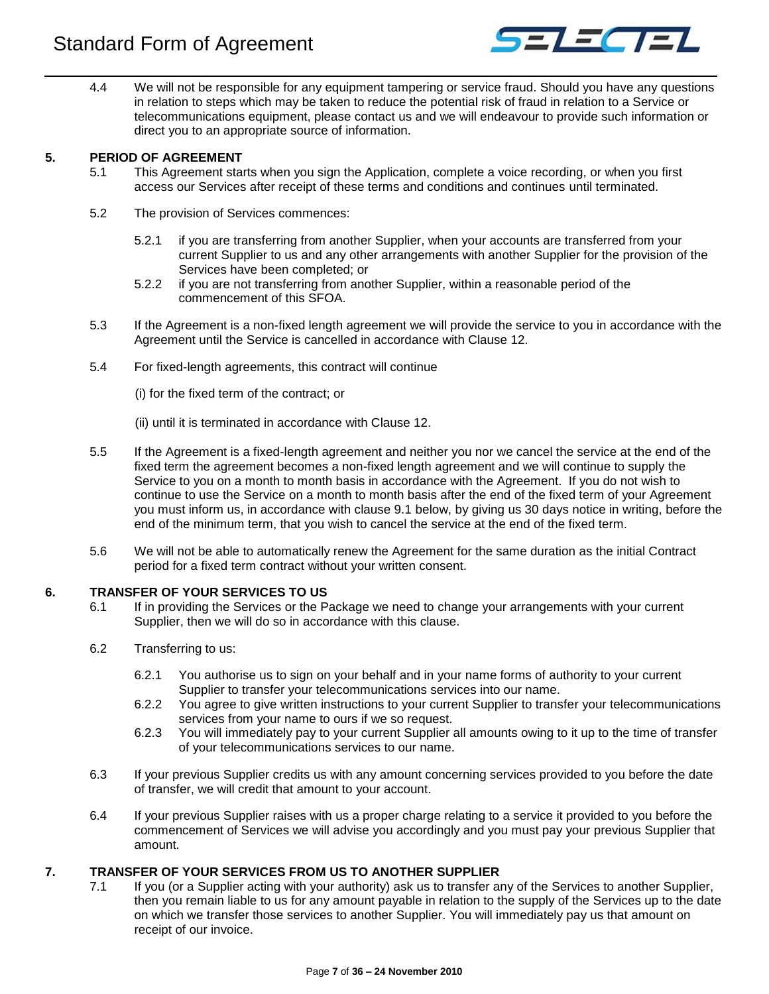

4.4 We will not be responsible for any equipment tampering or service fraud. Should you have any questions in relation to steps which may be taken to reduce the potential risk of fraud in relation to a Service or telecommunications equipment, please contact us and we will endeavour to provide such information or direct you to an appropriate source of information.

## <span id="page-6-0"></span>**5. PERIOD OF AGREEMENT**

- 5.1 This Agreement starts when you sign the Application, complete a voice recording, or when you first access our Services after receipt of these terms and conditions and continues until terminated.
- 5.2 The provision of Services commences:
	- 5.2.1 if you are transferring from another Supplier, when your accounts are transferred from your current Supplier to us and any other arrangements with another Supplier for the provision of the Services have been completed; or
	- 5.2.2 if you are not transferring from another Supplier, within a reasonable period of the commencement of this SFOA.
- 5.3 If the Agreement is a non-fixed length agreement we will provide the service to you in accordance with the Agreement until the Service is cancelled in accordance with Clause 12.
- 5.4 For fixed-length agreements, this contract will continue
	- (i) for the fixed term of the contract; or
	- (ii) until it is terminated in accordance with Clause 12.
- 5.5 If the Agreement is a fixed-length agreement and neither you nor we cancel the service at the end of the fixed term the agreement becomes a non-fixed length agreement and we will continue to supply the Service to you on a month to month basis in accordance with the Agreement. If you do not wish to continue to use the Service on a month to month basis after the end of the fixed term of your Agreement you must inform us, in accordance with clause 9.1 below, by giving us 30 days notice in writing, before the end of the minimum term, that you wish to cancel the service at the end of the fixed term.
- 5.6 We will not be able to automatically renew the Agreement for the same duration as the initial Contract period for a fixed term contract without your written consent.

## <span id="page-6-1"></span>**6. TRANSFER OF YOUR SERVICES TO US**

- 6.1 If in providing the Services or the Package we need to change your arrangements with your current Supplier, then we will do so in accordance with this clause.
- 6.2 Transferring to us:
	- 6.2.1 You authorise us to sign on your behalf and in your name forms of authority to your current Supplier to transfer your telecommunications services into our name.
	- 6.2.2 You agree to give written instructions to your current Supplier to transfer your telecommunications services from your name to ours if we so request.
	- 6.2.3 You will immediately pay to your current Supplier all amounts owing to it up to the time of transfer of your telecommunications services to our name.
- 6.3 If your previous Supplier credits us with any amount concerning services provided to you before the date of transfer, we will credit that amount to your account.
- 6.4 If your previous Supplier raises with us a proper charge relating to a service it provided to you before the commencement of Services we will advise you accordingly and you must pay your previous Supplier that amount.

## <span id="page-6-2"></span>**7. TRANSFER OF YOUR SERVICES FROM US TO ANOTHER SUPPLIER**

7.1 If you (or a Supplier acting with your authority) ask us to transfer any of the Services to another Supplier, then you remain liable to us for any amount payable in relation to the supply of the Services up to the date on which we transfer those services to another Supplier. You will immediately pay us that amount on receipt of our invoice.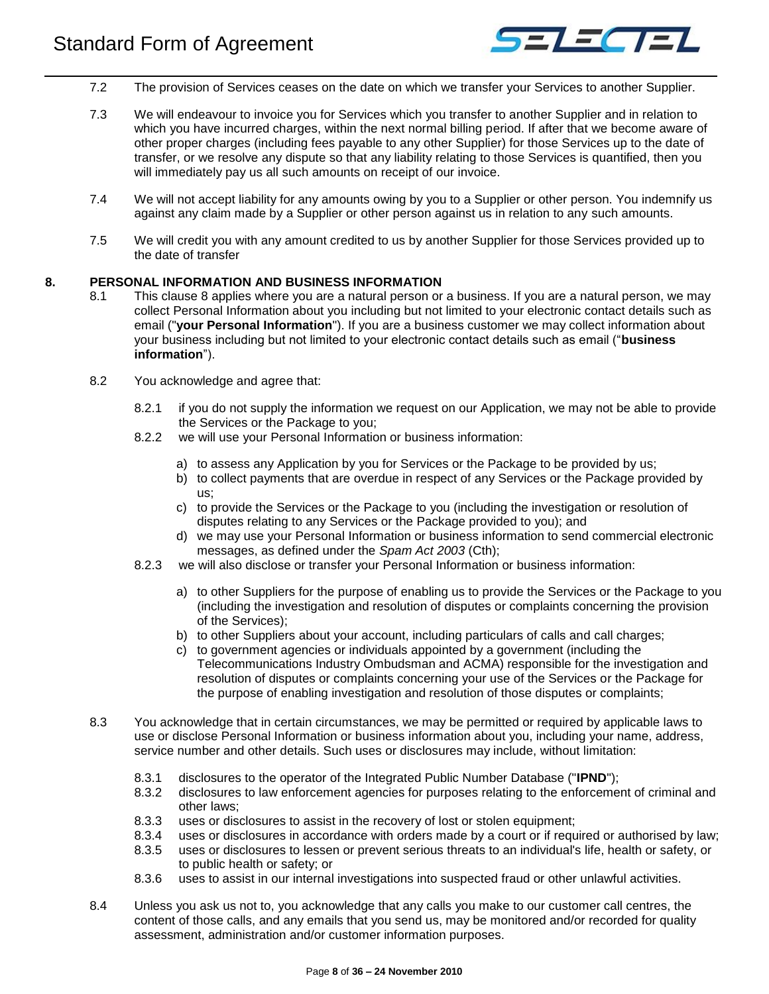

- 7.2 The provision of Services ceases on the date on which we transfer your Services to another Supplier.
- 7.3 We will endeavour to invoice you for Services which you transfer to another Supplier and in relation to which you have incurred charges, within the next normal billing period. If after that we become aware of other proper charges (including fees payable to any other Supplier) for those Services up to the date of transfer, or we resolve any dispute so that any liability relating to those Services is quantified, then you will immediately pay us all such amounts on receipt of our invoice.
- 7.4 We will not accept liability for any amounts owing by you to a Supplier or other person. You indemnify us against any claim made by a Supplier or other person against us in relation to any such amounts.
- 7.5 We will credit you with any amount credited to us by another Supplier for those Services provided up to the date of transfer

#### <span id="page-7-0"></span>**8. PERSONAL INFORMATION AND BUSINESS INFORMATION**

- 8.1 This clause 8 applies where you are a natural person or a business. If you are a natural person, we may collect Personal Information about you including but not limited to your electronic contact details such as email ("**your Personal Information**"). If you are a business customer we may collect information about your business including but not limited to your electronic contact details such as email ("**business information**").
- 8.2 You acknowledge and agree that:
	- 8.2.1 if you do not supply the information we request on our Application, we may not be able to provide the Services or the Package to you;
	- 8.2.2 we will use your Personal Information or business information:
		- a) to assess any Application by you for Services or the Package to be provided by us;
		- b) to collect payments that are overdue in respect of any Services or the Package provided by us;
		- c) to provide the Services or the Package to you (including the investigation or resolution of disputes relating to any Services or the Package provided to you); and
		- d) we may use your Personal Information or business information to send commercial electronic messages, as defined under the *Spam Act 2003* (Cth);
	- 8.2.3 we will also disclose or transfer your Personal Information or business information:
		- a) to other Suppliers for the purpose of enabling us to provide the Services or the Package to you (including the investigation and resolution of disputes or complaints concerning the provision of the Services);
		- b) to other Suppliers about your account, including particulars of calls and call charges;
		- c) to government agencies or individuals appointed by a government (including the Telecommunications Industry Ombudsman and ACMA) responsible for the investigation and resolution of disputes or complaints concerning your use of the Services or the Package for the purpose of enabling investigation and resolution of those disputes or complaints;
- 8.3 You acknowledge that in certain circumstances, we may be permitted or required by applicable laws to use or disclose Personal Information or business information about you, including your name, address, service number and other details. Such uses or disclosures may include, without limitation:
	- 8.3.1 disclosures to the operator of the Integrated Public Number Database ("**IPND**");
	- 8.3.2 disclosures to law enforcement agencies for purposes relating to the enforcement of criminal and other laws;
	- 8.3.3 uses or disclosures to assist in the recovery of lost or stolen equipment;
	- 8.3.4 uses or disclosures in accordance with orders made by a court or if required or authorised by law;
	- 8.3.5 uses or disclosures to lessen or prevent serious threats to an individual's life, health or safety, or to public health or safety; or
	- 8.3.6 uses to assist in our internal investigations into suspected fraud or other unlawful activities.
- 8.4 Unless you ask us not to, you acknowledge that any calls you make to our customer call centres, the content of those calls, and any emails that you send us, may be monitored and/or recorded for quality assessment, administration and/or customer information purposes.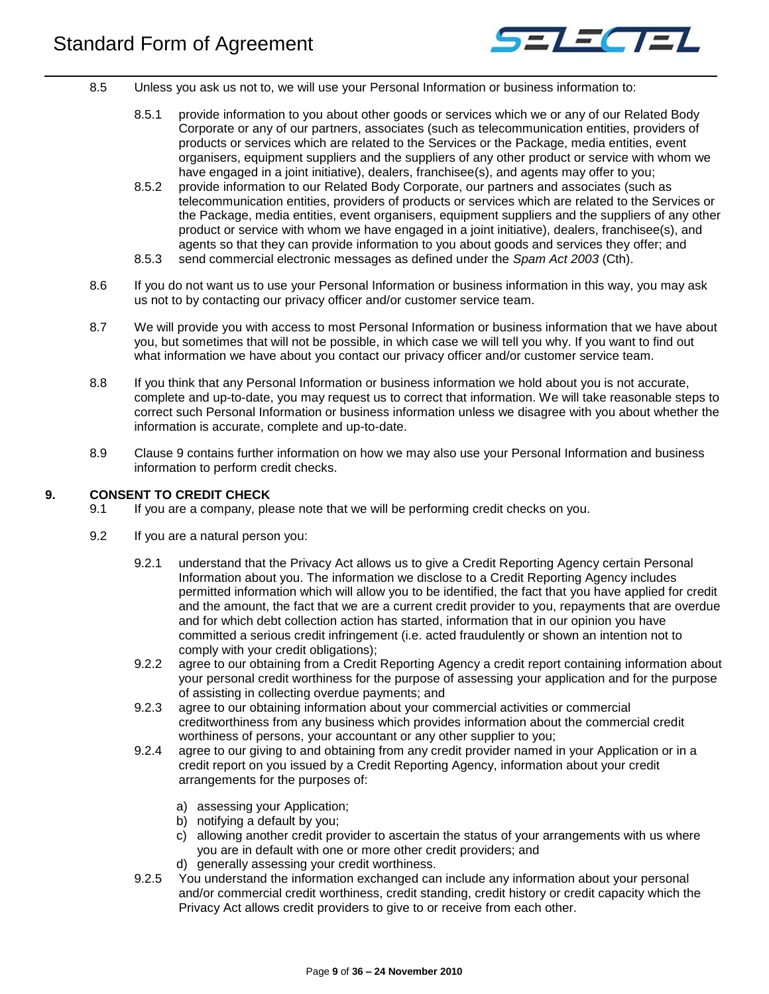

- 8.5 Unless you ask us not to, we will use your Personal Information or business information to:
	- 8.5.1 provide information to you about other goods or services which we or any of our Related Body Corporate or any of our partners, associates (such as telecommunication entities, providers of products or services which are related to the Services or the Package, media entities, event organisers, equipment suppliers and the suppliers of any other product or service with whom we have engaged in a joint initiative), dealers, franchisee(s), and agents may offer to you;
	- 8.5.2 provide information to our Related Body Corporate, our partners and associates (such as telecommunication entities, providers of products or services which are related to the Services or the Package, media entities, event organisers, equipment suppliers and the suppliers of any other product or service with whom we have engaged in a joint initiative), dealers, franchisee(s), and agents so that they can provide information to you about goods and services they offer; and
	- 8.5.3 send commercial electronic messages as defined under the *Spam Act 2003* (Cth).
- 8.6 If you do not want us to use your Personal Information or business information in this way, you may ask us not to by contacting our privacy officer and/or customer service team.
- 8.7 We will provide you with access to most Personal Information or business information that we have about you, but sometimes that will not be possible, in which case we will tell you why. If you want to find out what information we have about you contact our privacy officer and/or customer service team.
- 8.8 If you think that any Personal Information or business information we hold about you is not accurate, complete and up-to-date, you may request us to correct that information. We will take reasonable steps to correct such Personal Information or business information unless we disagree with you about whether the information is accurate, complete and up-to-date.
- 8.9 Clause 9 contains further information on how we may also use your Personal Information and business information to perform credit checks.

## <span id="page-8-0"></span>**9. CONSENT TO CREDIT CHECK**

- 9.1 If you are a company, please note that we will be performing credit checks on you.
- 9.2 If you are a natural person you:
	- 9.2.1 understand that the Privacy Act allows us to give a Credit Reporting Agency certain Personal Information about you. The information we disclose to a Credit Reporting Agency includes permitted information which will allow you to be identified, the fact that you have applied for credit and the amount, the fact that we are a current credit provider to you, repayments that are overdue and for which debt collection action has started, information that in our opinion you have committed a serious credit infringement (i.e. acted fraudulently or shown an intention not to comply with your credit obligations);
	- 9.2.2 agree to our obtaining from a Credit Reporting Agency a credit report containing information about your personal credit worthiness for the purpose of assessing your application and for the purpose of assisting in collecting overdue payments; and
	- 9.2.3 agree to our obtaining information about your commercial activities or commercial creditworthiness from any business which provides information about the commercial credit worthiness of persons, your accountant or any other supplier to you;
	- 9.2.4 agree to our giving to and obtaining from any credit provider named in your Application or in a credit report on you issued by a Credit Reporting Agency, information about your credit arrangements for the purposes of:
		- a) assessing your Application;
		- b) notifying a default by you;
		- c) allowing another credit provider to ascertain the status of your arrangements with us where you are in default with one or more other credit providers; and
		- d) generally assessing your credit worthiness.
	- 9.2.5 You understand the information exchanged can include any information about your personal and/or commercial credit worthiness, credit standing, credit history or credit capacity which the Privacy Act allows credit providers to give to or receive from each other.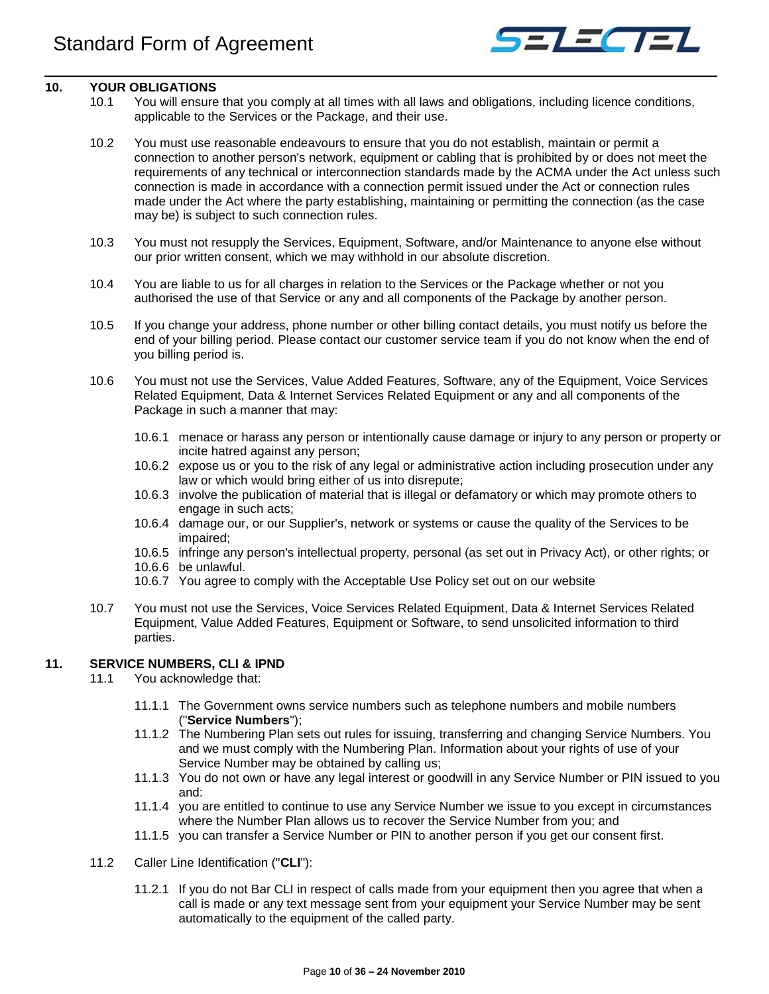

## <span id="page-9-0"></span>**10. YOUR OBLIGATIONS**

- 10.1 You will ensure that you comply at all times with all laws and obligations, including licence conditions, applicable to the Services or the Package, and their use.
- 10.2 You must use reasonable endeavours to ensure that you do not establish, maintain or permit a connection to another person's network, equipment or cabling that is prohibited by or does not meet the requirements of any technical or interconnection standards made by the ACMA under the Act unless such connection is made in accordance with a connection permit issued under the Act or connection rules made under the Act where the party establishing, maintaining or permitting the connection (as the case may be) is subject to such connection rules.
- 10.3 You must not resupply the Services, Equipment, Software, and/or Maintenance to anyone else without our prior written consent, which we may withhold in our absolute discretion.
- 10.4 You are liable to us for all charges in relation to the Services or the Package whether or not you authorised the use of that Service or any and all components of the Package by another person.
- 10.5 If you change your address, phone number or other billing contact details, you must notify us before the end of your billing period. Please contact our customer service team if you do not know when the end of you billing period is.
- 10.6 You must not use the Services, Value Added Features, Software, any of the Equipment, Voice Services Related Equipment, Data & Internet Services Related Equipment or any and all components of the Package in such a manner that may:
	- 10.6.1 menace or harass any person or intentionally cause damage or injury to any person or property or incite hatred against any person;
	- 10.6.2 expose us or you to the risk of any legal or administrative action including prosecution under any law or which would bring either of us into disrepute;
	- 10.6.3 involve the publication of material that is illegal or defamatory or which may promote others to engage in such acts;
	- 10.6.4 damage our, or our Supplier's, network or systems or cause the quality of the Services to be impaired;
	- 10.6.5 infringe any person's intellectual property, personal (as set out in Privacy Act), or other rights; or
	- 10.6.6 be unlawful.
	- 10.6.7 You agree to comply with the Acceptable Use Policy set out on our website
- 10.7 You must not use the Services, Voice Services Related Equipment, Data & Internet Services Related Equipment, Value Added Features, Equipment or Software, to send unsolicited information to third parties.

## <span id="page-9-1"></span>**11. SERVICE NUMBERS, CLI & IPND**

- 11.1 You acknowledge that:
	- 11.1.1 The Government owns service numbers such as telephone numbers and mobile numbers ("**Service Numbers**");
	- 11.1.2 The Numbering Plan sets out rules for issuing, transferring and changing Service Numbers. You and we must comply with the Numbering Plan. Information about your rights of use of your Service Number may be obtained by calling us;
	- 11.1.3 You do not own or have any legal interest or goodwill in any Service Number or PIN issued to you and:
	- 11.1.4 you are entitled to continue to use any Service Number we issue to you except in circumstances where the Number Plan allows us to recover the Service Number from you; and
	- 11.1.5 you can transfer a Service Number or PIN to another person if you get our consent first.
- 11.2 Caller Line Identification ("**CLI**"):
	- 11.2.1 If you do not Bar CLI in respect of calls made from your equipment then you agree that when a call is made or any text message sent from your equipment your Service Number may be sent automatically to the equipment of the called party.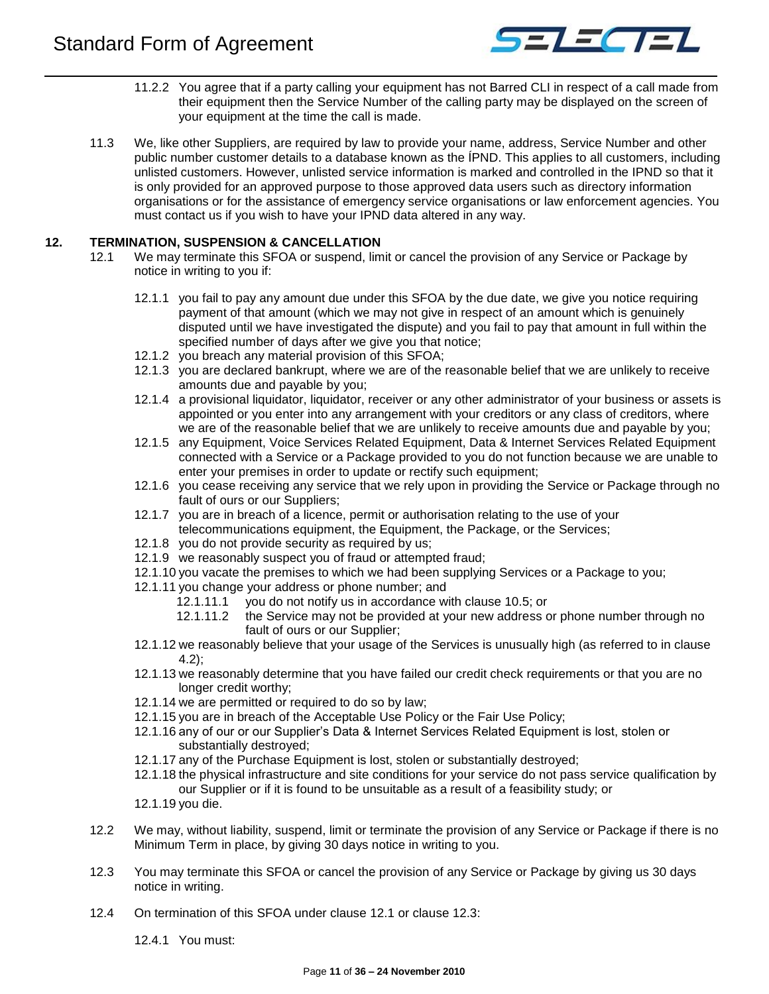

- 11.2.2 You agree that if a party calling your equipment has not Barred CLI in respect of a call made from their equipment then the Service Number of the calling party may be displayed on the screen of your equipment at the time the call is made.
- 11.3 We, like other Suppliers, are required by law to provide your name, address, Service Number and other public number customer details to a database known as the ÍPND. This applies to all customers, including unlisted customers. However, unlisted service information is marked and controlled in the IPND so that it is only provided for an approved purpose to those approved data users such as directory information organisations or for the assistance of emergency service organisations or law enforcement agencies. You must contact us if you wish to have your IPND data altered in any way.

## <span id="page-10-1"></span><span id="page-10-0"></span>**12. TERMINATION, SUSPENSION & CANCELLATION**

- 12.1 We may terminate this SFOA or suspend, limit or cancel the provision of any Service or Package by notice in writing to you if:
	- 12.1.1 you fail to pay any amount due under this SFOA by the due date, we give you notice requiring payment of that amount (which we may not give in respect of an amount which is genuinely disputed until we have investigated the dispute) and you fail to pay that amount in full within the specified number of days after we give you that notice;
	- 12.1.2 you breach any material provision of this SFOA;
	- 12.1.3 you are declared bankrupt, where we are of the reasonable belief that we are unlikely to receive amounts due and payable by you;
	- 12.1.4 a provisional liquidator, liquidator, receiver or any other administrator of your business or assets is appointed or you enter into any arrangement with your creditors or any class of creditors, where we are of the reasonable belief that we are unlikely to receive amounts due and payable by you;
	- 12.1.5 any Equipment, Voice Services Related Equipment, Data & Internet Services Related Equipment connected with a Service or a Package provided to you do not function because we are unable to enter your premises in order to update or rectify such equipment;
	- 12.1.6 you cease receiving any service that we rely upon in providing the Service or Package through no fault of ours or our Suppliers;
	- 12.1.7 you are in breach of a licence, permit or authorisation relating to the use of your telecommunications equipment, the Equipment, the Package, or the Services;
	- 12.1.8 you do not provide security as required by us;
	- 12.1.9 we reasonably suspect you of fraud or attempted fraud;
	- 12.1.10 you vacate the premises to which we had been supplying Services or a Package to you;
	- 12.1.11 you change your address or phone number; and
		- 12.1.11.1 you do not notify us in accordance with clause 10.5; or
		- 12.1.11.2 the Service may not be provided at your new address or phone number through no fault of ours or our Supplier;
	- 12.1.12 we reasonably believe that your usage of the Services is unusually high (as referred to in clause 4.2);
	- 12.1.13 we reasonably determine that you have failed our credit check requirements or that you are no longer credit worthy;
	- 12.1.14 we are permitted or required to do so by law;
	- 12.1.15 you are in breach of the Acceptable Use Policy or the Fair Use Policy;
	- 12.1.16 any of our or our Supplier's Data & Internet Services Related Equipment is lost, stolen or substantially destroyed;
	- 12.1.17 any of the Purchase Equipment is lost, stolen or substantially destroyed;
	- 12.1.18 the physical infrastructure and site conditions for your service do not pass service qualification by our Supplier or if it is found to be unsuitable as a result of a feasibility study; or
	- 12.1.19 you die.
- <span id="page-10-4"></span>12.2 We may, without liability, suspend, limit or terminate the provision of any Service or Package if there is no Minimum Term in place, by giving 30 days notice in writing to you.
- <span id="page-10-2"></span>12.3 You may terminate this SFOA or cancel the provision of any Service or Package by giving us 30 days notice in writing.
- <span id="page-10-3"></span>12.4 On termination of this SFOA under clause [12.1](#page-10-1) or clause [12.3:](#page-10-2)
	- 12.4.1 You must: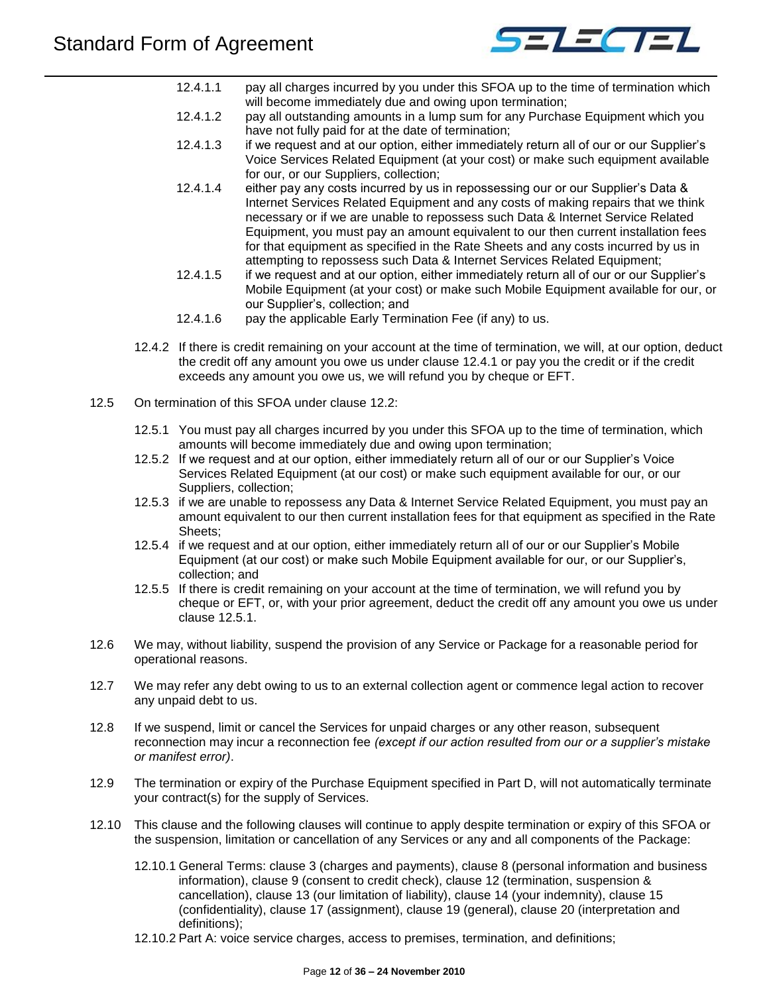

- 12.4.1.1 pay all charges incurred by you under this SFOA up to the time of termination which will become immediately due and owing upon termination;
- 12.4.1.2 pay all outstanding amounts in a lump sum for any Purchase Equipment which you have not fully paid for at the date of termination;
- 12.4.1.3 if we request and at our option, either immediately return all of our or our Supplier's Voice Services Related Equipment (at your cost) or make such equipment available for our, or our Suppliers, collection;
- 12.4.1.4 either pay any costs incurred by us in repossessing our or our Supplier's Data & Internet Services Related Equipment and any costs of making repairs that we think necessary or if we are unable to repossess such Data & Internet Service Related Equipment, you must pay an amount equivalent to our then current installation fees for that equipment as specified in the Rate Sheets and any costs incurred by us in attempting to repossess such Data & Internet Services Related Equipment;
- 12.4.1.5 if we request and at our option, either immediately return all of our or our Supplier's Mobile Equipment (at your cost) or make such Mobile Equipment available for our, or our Supplier's, collection; and
- 12.4.1.6 pay the applicable Early Termination Fee (if any) to us.
- 12.4.2 If there is credit remaining on your account at the time of termination, we will, at our option, deduct the credit off any amount you owe us under clause [12.4.1](#page-10-3) or pay you the credit or if the credit exceeds any amount you owe us, we will refund you by cheque or EFT.
- <span id="page-11-0"></span>12.5 On termination of this SFOA under clause [12.2:](#page-10-4)
	- 12.5.1 You must pay all charges incurred by you under this SFOA up to the time of termination, which amounts will become immediately due and owing upon termination;
	- 12.5.2 If we request and at our option, either immediately return all of our or our Supplier's Voice Services Related Equipment (at our cost) or make such equipment available for our, or our Suppliers, collection;
	- 12.5.3 if we are unable to repossess any Data & Internet Service Related Equipment, you must pay an amount equivalent to our then current installation fees for that equipment as specified in the Rate Sheets;
	- 12.5.4 if we request and at our option, either immediately return all of our or our Supplier's Mobile Equipment (at our cost) or make such Mobile Equipment available for our, or our Supplier's, collection; and
	- 12.5.5 If there is credit remaining on your account at the time of termination, we will refund you by cheque or EFT, or, with your prior agreement, deduct the credit off any amount you owe us under clause [12.5.1.](#page-11-0)
- 12.6 We may, without liability, suspend the provision of any Service or Package for a reasonable period for operational reasons.
- 12.7 We may refer any debt owing to us to an external collection agent or commence legal action to recover any unpaid debt to us.
- 12.8 If we suspend, limit or cancel the Services for unpaid charges or any other reason, subsequent reconnection may incur a reconnection fee *(except if our action resulted from our or a supplier's mistake or manifest error)*.
- 12.9 The termination or expiry of the Purchase Equipment specified in Part D, will not automatically terminate your contract(s) for the supply of Services.
- 12.10 This clause and the following clauses will continue to apply despite termination or expiry of this SFOA or the suspension, limitation or cancellation of any Services or any and all components of the Package:
	- 12.10.1 General Terms: clause 3 (charges and payments), clause 8 (personal information and business information), clause 9 (consent to credit check), clause 12 (termination, suspension & cancellation), clause 13 (our limitation of liability), clause 14 (your indemnity), clause 15 (confidentiality), clause 17 (assignment), clause 19 (general), clause 20 (interpretation and definitions);
	- 12.10.2 Part A: voice service charges, access to premises, termination, and definitions;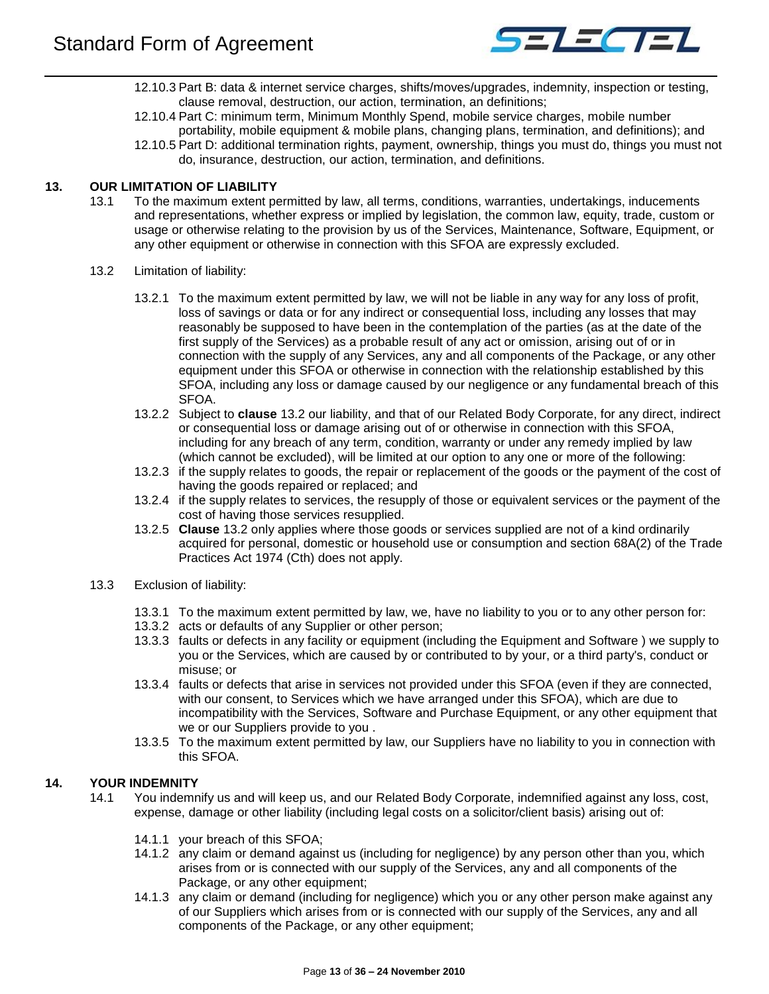

- 12.10.3 Part B: data & internet service charges, shifts/moves/upgrades, indemnity, inspection or testing, clause removal, destruction, our action, termination, an definitions;
- 12.10.4 Part C: minimum term, Minimum Monthly Spend, mobile service charges, mobile number portability, mobile equipment & mobile plans, changing plans, termination, and definitions); and
- 12.10.5 Part D: additional termination rights, payment, ownership, things you must do, things you must not do, insurance, destruction, our action, termination, and definitions.

## <span id="page-12-0"></span>**13. OUR LIMITATION OF LIABILITY**

- 13.1 To the maximum extent permitted by law, all terms, conditions, warranties, undertakings, inducements and representations, whether express or implied by legislation, the common law, equity, trade, custom or usage or otherwise relating to the provision by us of the Services, Maintenance, Software, Equipment, or any other equipment or otherwise in connection with this SFOA are expressly excluded.
	- 13.2 Limitation of liability:
		- 13.2.1 To the maximum extent permitted by law, we will not be liable in any way for any loss of profit, loss of savings or data or for any indirect or consequential loss, including any losses that may reasonably be supposed to have been in the contemplation of the parties (as at the date of the first supply of the Services) as a probable result of any act or omission, arising out of or in connection with the supply of any Services, any and all components of the Package, or any other equipment under this SFOA or otherwise in connection with the relationship established by this SFOA, including any loss or damage caused by our negligence or any fundamental breach of this SFOA.
		- 13.2.2 Subject to **clause** 13.2 our liability, and that of our Related Body Corporate, for any direct, indirect or consequential loss or damage arising out of or otherwise in connection with this SFOA, including for any breach of any term, condition, warranty or under any remedy implied by law (which cannot be excluded), will be limited at our option to any one or more of the following:
		- 13.2.3 if the supply relates to goods, the repair or replacement of the goods or the payment of the cost of having the goods repaired or replaced; and
		- 13.2.4 if the supply relates to services, the resupply of those or equivalent services or the payment of the cost of having those services resupplied.
		- 13.2.5 **Clause** 13.2 only applies where those goods or services supplied are not of a kind ordinarily acquired for personal, domestic or household use or consumption and section 68A(2) of the Trade Practices Act 1974 (Cth) does not apply.
	- 13.3 Exclusion of liability:
		- 13.3.1 To the maximum extent permitted by law, we, have no liability to you or to any other person for:
		- 13.3.2 acts or defaults of any Supplier or other person;
		- 13.3.3 faults or defects in any facility or equipment (including the Equipment and Software ) we supply to you or the Services, which are caused by or contributed to by your, or a third party's, conduct or misuse; or
		- 13.3.4 faults or defects that arise in services not provided under this SFOA (even if they are connected, with our consent, to Services which we have arranged under this SFOA), which are due to incompatibility with the Services, Software and Purchase Equipment, or any other equipment that we or our Suppliers provide to you .
		- 13.3.5 To the maximum extent permitted by law, our Suppliers have no liability to you in connection with this SFOA.

## <span id="page-12-1"></span>**14. YOUR INDEMNITY**

- 14.1 You indemnify us and will keep us, and our Related Body Corporate, indemnified against any loss, cost, expense, damage or other liability (including legal costs on a solicitor/client basis) arising out of:
	- 14.1.1 your breach of this SFOA;
	- 14.1.2 any claim or demand against us (including for negligence) by any person other than you, which arises from or is connected with our supply of the Services, any and all components of the Package, or any other equipment;
	- 14.1.3 any claim or demand (including for negligence) which you or any other person make against any of our Suppliers which arises from or is connected with our supply of the Services, any and all components of the Package, or any other equipment;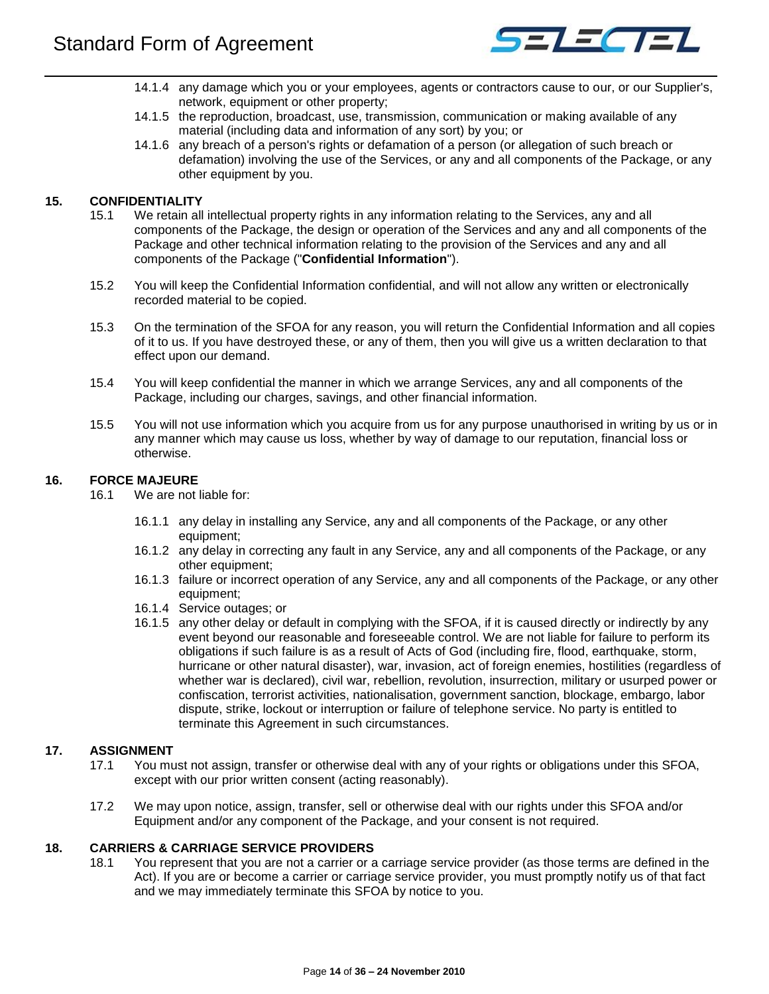

- 14.1.4 any damage which you or your employees, agents or contractors cause to our, or our Supplier's, network, equipment or other property;
- 14.1.5 the reproduction, broadcast, use, transmission, communication or making available of any material (including data and information of any sort) by you; or
- 14.1.6 any breach of a person's rights or defamation of a person (or allegation of such breach or defamation) involving the use of the Services, or any and all components of the Package, or any other equipment by you.

## <span id="page-13-0"></span>**15. CONFIDENTIALITY**

- 15.1 We retain all intellectual property rights in any information relating to the Services, any and all components of the Package, the design or operation of the Services and any and all components of the Package and other technical information relating to the provision of the Services and any and all components of the Package ("**Confidential Information**").
- 15.2 You will keep the Confidential Information confidential, and will not allow any written or electronically recorded material to be copied.
- 15.3 On the termination of the SFOA for any reason, you will return the Confidential Information and all copies of it to us. If you have destroyed these, or any of them, then you will give us a written declaration to that effect upon our demand.
- 15.4 You will keep confidential the manner in which we arrange Services, any and all components of the Package, including our charges, savings, and other financial information.
- 15.5 You will not use information which you acquire from us for any purpose unauthorised in writing by us or in any manner which may cause us loss, whether by way of damage to our reputation, financial loss or otherwise.

## <span id="page-13-1"></span>**16. FORCE MAJEURE**

- 16.1 We are not liable for:
	- 16.1.1 any delay in installing any Service, any and all components of the Package, or any other equipment;
	- 16.1.2 any delay in correcting any fault in any Service, any and all components of the Package, or any other equipment;
	- 16.1.3 failure or incorrect operation of any Service, any and all components of the Package, or any other equipment;
	- 16.1.4 Service outages; or
	- 16.1.5 any other delay or default in complying with the SFOA, if it is caused directly or indirectly by any event beyond our reasonable and foreseeable control. We are not liable for failure to perform its obligations if such failure is as a result of Acts of God (including fire, flood, earthquake, storm, hurricane or other natural disaster), war, invasion, act of foreign enemies, hostilities (regardless of whether war is declared), civil war, rebellion, revolution, insurrection, military or usurped power or confiscation, terrorist activities, nationalisation, government sanction, blockage, embargo, labor dispute, strike, lockout or interruption or failure of telephone service. No party is entitled to terminate this Agreement in such circumstances.

## <span id="page-13-2"></span>**17. ASSIGNMENT**

- 17.1 You must not assign, transfer or otherwise deal with any of your rights or obligations under this SFOA, except with our prior written consent (acting reasonably).
- 17.2 We may upon notice, assign, transfer, sell or otherwise deal with our rights under this SFOA and/or Equipment and/or any component of the Package, and your consent is not required.

## <span id="page-13-3"></span>**18. CARRIERS & CARRIAGE SERVICE PROVIDERS**

18.1 You represent that you are not a carrier or a carriage service provider (as those terms are defined in the Act). If you are or become a carrier or carriage service provider, you must promptly notify us of that fact and we may immediately terminate this SFOA by notice to you.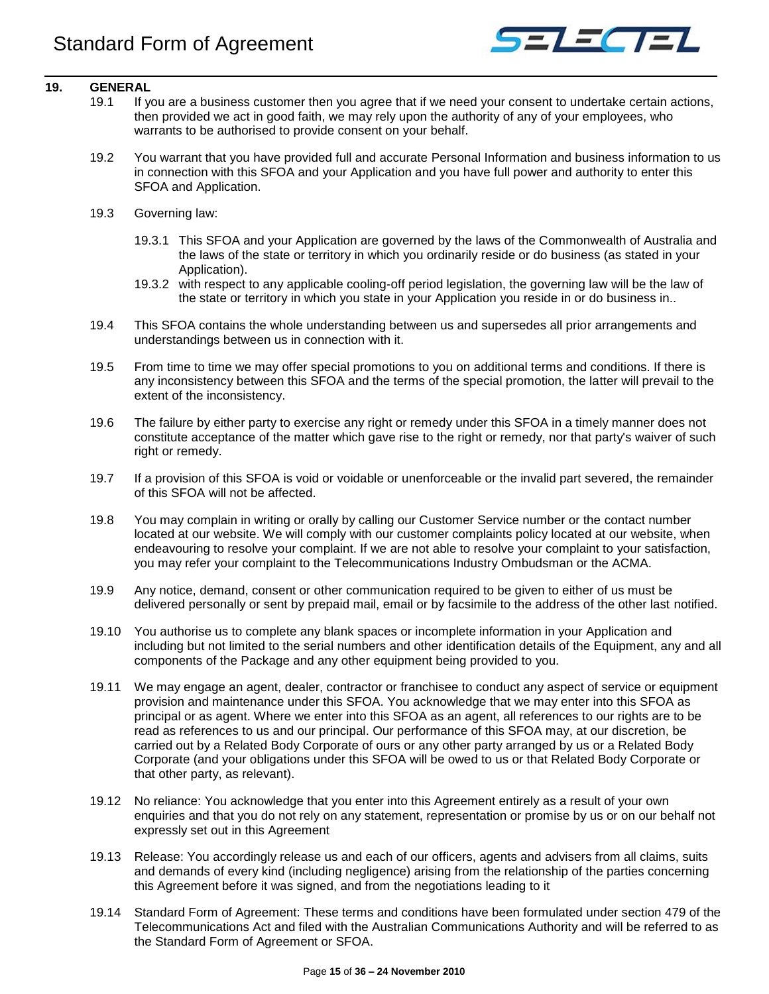

## <span id="page-14-0"></span>**19. GENERAL**

- 19.1 If you are a business customer then you agree that if we need your consent to undertake certain actions, then provided we act in good faith, we may rely upon the authority of any of your employees, who warrants to be authorised to provide consent on your behalf.
- 19.2 You warrant that you have provided full and accurate Personal Information and business information to us in connection with this SFOA and your Application and you have full power and authority to enter this SFOA and Application.
- 19.3 Governing law:
	- 19.3.1 This SFOA and your Application are governed by the laws of the Commonwealth of Australia and the laws of the state or territory in which you ordinarily reside or do business (as stated in your Application).
	- 19.3.2 with respect to any applicable cooling-off period legislation, the governing law will be the law of the state or territory in which you state in your Application you reside in or do business in..
- 19.4 This SFOA contains the whole understanding between us and supersedes all prior arrangements and understandings between us in connection with it.
- 19.5 From time to time we may offer special promotions to you on additional terms and conditions. If there is any inconsistency between this SFOA and the terms of the special promotion, the latter will prevail to the extent of the inconsistency.
- 19.6 The failure by either party to exercise any right or remedy under this SFOA in a timely manner does not constitute acceptance of the matter which gave rise to the right or remedy, nor that party's waiver of such right or remedy.
- 19.7 If a provision of this SFOA is void or voidable or unenforceable or the invalid part severed, the remainder of this SFOA will not be affected.
- 19.8 You may complain in writing or orally by calling our Customer Service number or the contact number located at our website. We will comply with our customer complaints policy located at our website, when endeavouring to resolve your complaint. If we are not able to resolve your complaint to your satisfaction, you may refer your complaint to the Telecommunications Industry Ombudsman or the ACMA.
- 19.9 Any notice, demand, consent or other communication required to be given to either of us must be delivered personally or sent by prepaid mail, email or by facsimile to the address of the other last notified.
- 19.10 You authorise us to complete any blank spaces or incomplete information in your Application and including but not limited to the serial numbers and other identification details of the Equipment, any and all components of the Package and any other equipment being provided to you.
- 19.11 We may engage an agent, dealer, contractor or franchisee to conduct any aspect of service or equipment provision and maintenance under this SFOA. You acknowledge that we may enter into this SFOA as principal or as agent. Where we enter into this SFOA as an agent, all references to our rights are to be read as references to us and our principal. Our performance of this SFOA may, at our discretion, be carried out by a Related Body Corporate of ours or any other party arranged by us or a Related Body Corporate (and your obligations under this SFOA will be owed to us or that Related Body Corporate or that other party, as relevant).
- 19.12 No reliance: You acknowledge that you enter into this Agreement entirely as a result of your own enquiries and that you do not rely on any statement, representation or promise by us or on our behalf not expressly set out in this Agreement
- 19.13 Release: You accordingly release us and each of our officers, agents and advisers from all claims, suits and demands of every kind (including negligence) arising from the relationship of the parties concerning this Agreement before it was signed, and from the negotiations leading to it
- 19.14 Standard Form of Agreement: These terms and conditions have been formulated under section 479 of the Telecommunications Act and filed with the Australian Communications Authority and will be referred to as the Standard Form of Agreement or SFOA.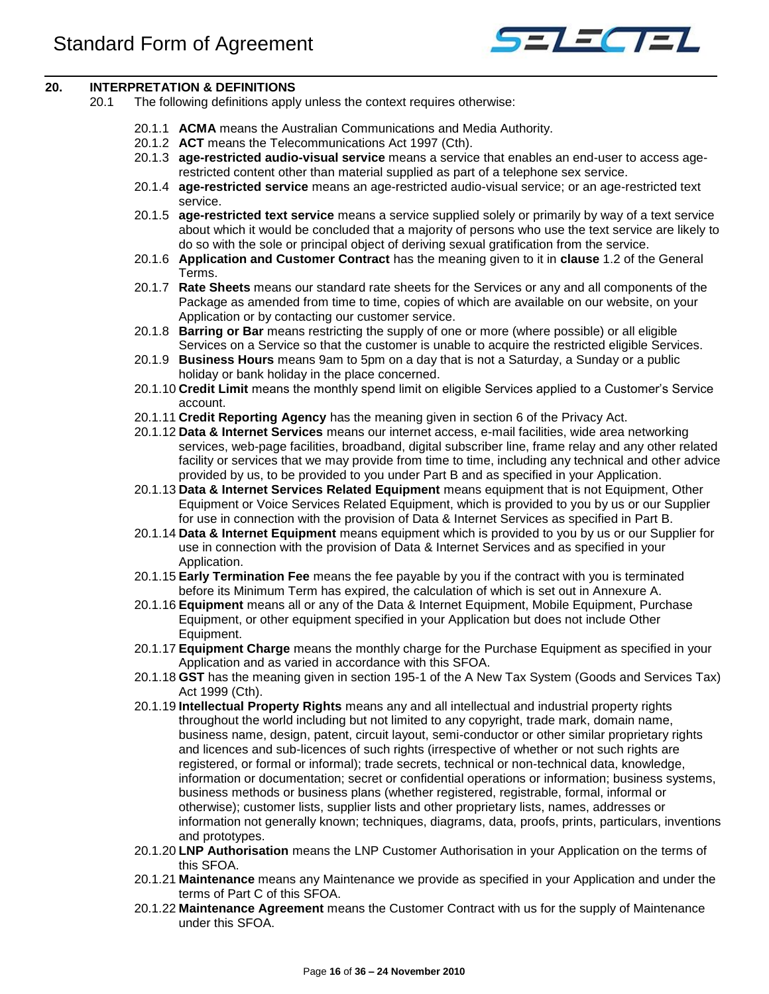

## <span id="page-15-0"></span>**20. INTERPRETATION & DEFINITIONS**

- 20.1 The following definitions apply unless the context requires otherwise:
	- 20.1.1 **ACMA** means the Australian Communications and Media Authority.
	- 20.1.2 **ACT** means the Telecommunications Act 1997 (Cth).
	- 20.1.3 **age-restricted audio-visual service** means a service that enables an end-user to access agerestricted content other than material supplied as part of a telephone sex service.
	- 20.1.4 **age-restricted service** means an age-restricted audio-visual service; or an age-restricted text service.
	- 20.1.5 **age-restricted text service** means a service supplied solely or primarily by way of a text service about which it would be concluded that a majority of persons who use the text service are likely to do so with the sole or principal object of deriving sexual gratification from the service.
	- 20.1.6 **Application and Customer Contract** has the meaning given to it in **clause** 1.2 of the General Terms.
	- 20.1.7 **Rate Sheets** means our standard rate sheets for the Services or any and all components of the Package as amended from time to time, copies of which are available on our website, on your Application or by contacting our customer service.
	- 20.1.8 **Barring or Bar** means restricting the supply of one or more (where possible) or all eligible Services on a Service so that the customer is unable to acquire the restricted eligible Services.
	- 20.1.9 **Business Hours** means 9am to 5pm on a day that is not a Saturday, a Sunday or a public holiday or bank holiday in the place concerned.
	- 20.1.10 **Credit Limit** means the monthly spend limit on eligible Services applied to a Customer's Service account.
	- 20.1.11 **Credit Reporting Agency** has the meaning given in section 6 of the Privacy Act.
	- 20.1.12 **Data & Internet Services** means our internet access, e-mail facilities, wide area networking services, web-page facilities, broadband, digital subscriber line, frame relay and any other related facility or services that we may provide from time to time, including any technical and other advice provided by us, to be provided to you under Part B and as specified in your Application.
	- 20.1.13 **Data & Internet Services Related Equipment** means equipment that is not Equipment, Other Equipment or Voice Services Related Equipment, which is provided to you by us or our Supplier for use in connection with the provision of Data & Internet Services as specified in Part B.
	- 20.1.14 **Data & Internet Equipment** means equipment which is provided to you by us or our Supplier for use in connection with the provision of Data & Internet Services and as specified in your Application.
	- 20.1.15 **Early Termination Fee** means the fee payable by you if the contract with you is terminated before its Minimum Term has expired, the calculation of which is set out in Annexure A.
	- 20.1.16 **Equipment** means all or any of the Data & Internet Equipment, Mobile Equipment, Purchase Equipment, or other equipment specified in your Application but does not include Other Equipment.
	- 20.1.17 **Equipment Charge** means the monthly charge for the Purchase Equipment as specified in your Application and as varied in accordance with this SFOA.
	- 20.1.18 **GST** has the meaning given in section 195-1 of the A New Tax System (Goods and Services Tax) Act 1999 (Cth).
	- 20.1.19 **Intellectual Property Rights** means any and all intellectual and industrial property rights throughout the world including but not limited to any copyright, trade mark, domain name, business name, design, patent, circuit layout, semi-conductor or other similar proprietary rights and licences and sub-licences of such rights (irrespective of whether or not such rights are registered, or formal or informal); trade secrets, technical or non-technical data, knowledge, information or documentation; secret or confidential operations or information; business systems, business methods or business plans (whether registered, registrable, formal, informal or otherwise); customer lists, supplier lists and other proprietary lists, names, addresses or information not generally known; techniques, diagrams, data, proofs, prints, particulars, inventions and prototypes.
	- 20.1.20 **LNP Authorisation** means the LNP Customer Authorisation in your Application on the terms of this SFOA.
	- 20.1.21 **Maintenance** means any Maintenance we provide as specified in your Application and under the terms of Part C of this SFOA.
	- 20.1.22 **Maintenance Agreement** means the Customer Contract with us for the supply of Maintenance under this SFOA.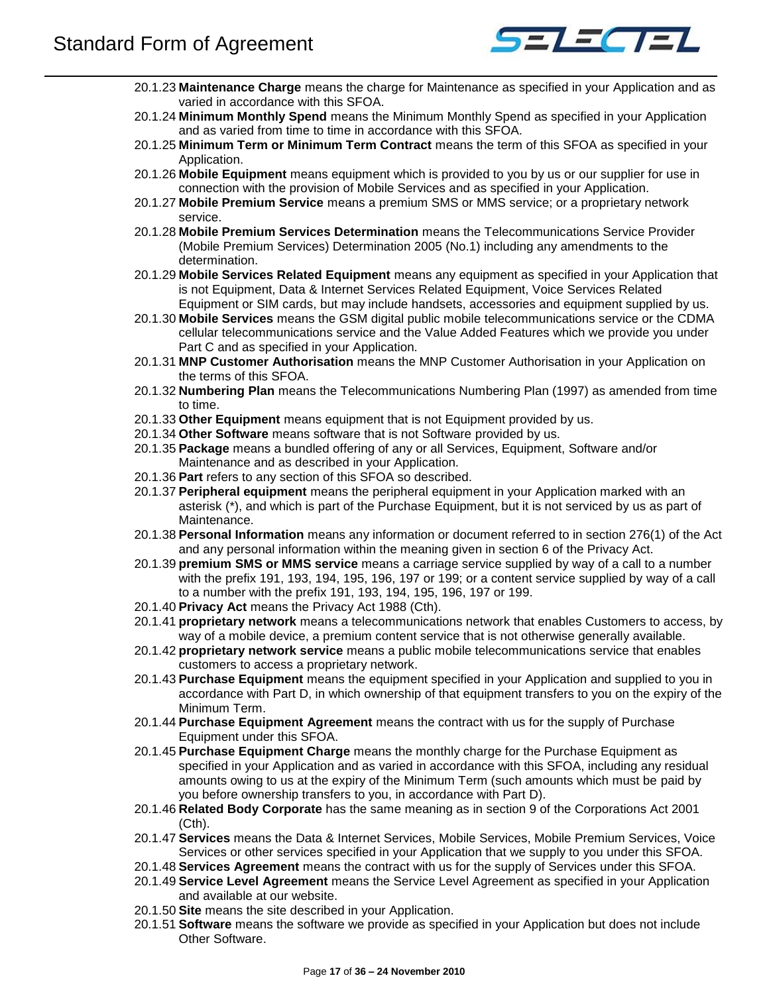

- 20.1.23 **Maintenance Charge** means the charge for Maintenance as specified in your Application and as varied in accordance with this SFOA.
- 20.1.24 **Minimum Monthly Spend** means the Minimum Monthly Spend as specified in your Application and as varied from time to time in accordance with this SFOA.
- 20.1.25 **Minimum Term or Minimum Term Contract** means the term of this SFOA as specified in your Application.
- 20.1.26 **Mobile Equipment** means equipment which is provided to you by us or our supplier for use in connection with the provision of Mobile Services and as specified in your Application.
- 20.1.27 **Mobile Premium Service** means a premium SMS or MMS service; or a proprietary network service.
- 20.1.28 **Mobile Premium Services Determination** means the Telecommunications Service Provider (Mobile Premium Services) Determination 2005 (No.1) including any amendments to the determination.
- 20.1.29 **Mobile Services Related Equipment** means any equipment as specified in your Application that is not Equipment, Data & Internet Services Related Equipment, Voice Services Related Equipment or SIM cards, but may include handsets, accessories and equipment supplied by us.
- 20.1.30 **Mobile Services** means the GSM digital public mobile telecommunications service or the CDMA cellular telecommunications service and the Value Added Features which we provide you under Part C and as specified in your Application.
- 20.1.31 **MNP Customer Authorisation** means the MNP Customer Authorisation in your Application on the terms of this SFOA.
- 20.1.32 **Numbering Plan** means the Telecommunications Numbering Plan (1997) as amended from time to time.
- 20.1.33 **Other Equipment** means equipment that is not Equipment provided by us.
- 20.1.34 **Other Software** means software that is not Software provided by us.
- 20.1.35 **Package** means a bundled offering of any or all Services, Equipment, Software and/or Maintenance and as described in your Application.
- 20.1.36 **Part** refers to any section of this SFOA so described.
- 20.1.37 **Peripheral equipment** means the peripheral equipment in your Application marked with an asterisk (\*), and which is part of the Purchase Equipment, but it is not serviced by us as part of Maintenance.
- 20.1.38 **Personal Information** means any information or document referred to in section 276(1) of the Act and any personal information within the meaning given in section 6 of the Privacy Act.
- 20.1.39 **premium SMS or MMS service** means a carriage service supplied by way of a call to a number with the prefix 191, 193, 194, 195, 196, 197 or 199; or a content service supplied by way of a call to a number with the prefix 191, 193, 194, 195, 196, 197 or 199.
- 20.1.40 **Privacy Act** means the Privacy Act 1988 (Cth).
- 20.1.41 **proprietary network** means a telecommunications network that enables Customers to access, by way of a mobile device, a premium content service that is not otherwise generally available.
- 20.1.42 **proprietary network service** means a public mobile telecommunications service that enables customers to access a proprietary network.
- 20.1.43 **Purchase Equipment** means the equipment specified in your Application and supplied to you in accordance with Part D, in which ownership of that equipment transfers to you on the expiry of the Minimum Term.
- 20.1.44 **Purchase Equipment Agreement** means the contract with us for the supply of Purchase Equipment under this SFOA.
- 20.1.45 **Purchase Equipment Charge** means the monthly charge for the Purchase Equipment as specified in your Application and as varied in accordance with this SFOA, including any residual amounts owing to us at the expiry of the Minimum Term (such amounts which must be paid by you before ownership transfers to you, in accordance with Part D).
- 20.1.46 **Related Body Corporate** has the same meaning as in section 9 of the Corporations Act 2001 (Cth).
- 20.1.47 **Services** means the Data & Internet Services, Mobile Services, Mobile Premium Services, Voice Services or other services specified in your Application that we supply to you under this SFOA.
- 20.1.48 **Services Agreement** means the contract with us for the supply of Services under this SFOA.
- 20.1.49 **Service Level Agreement** means the Service Level Agreement as specified in your Application and available at our website.
- 20.1.50 **Site** means the site described in your Application.
- 20.1.51 **Software** means the software we provide as specified in your Application but does not include Other Software.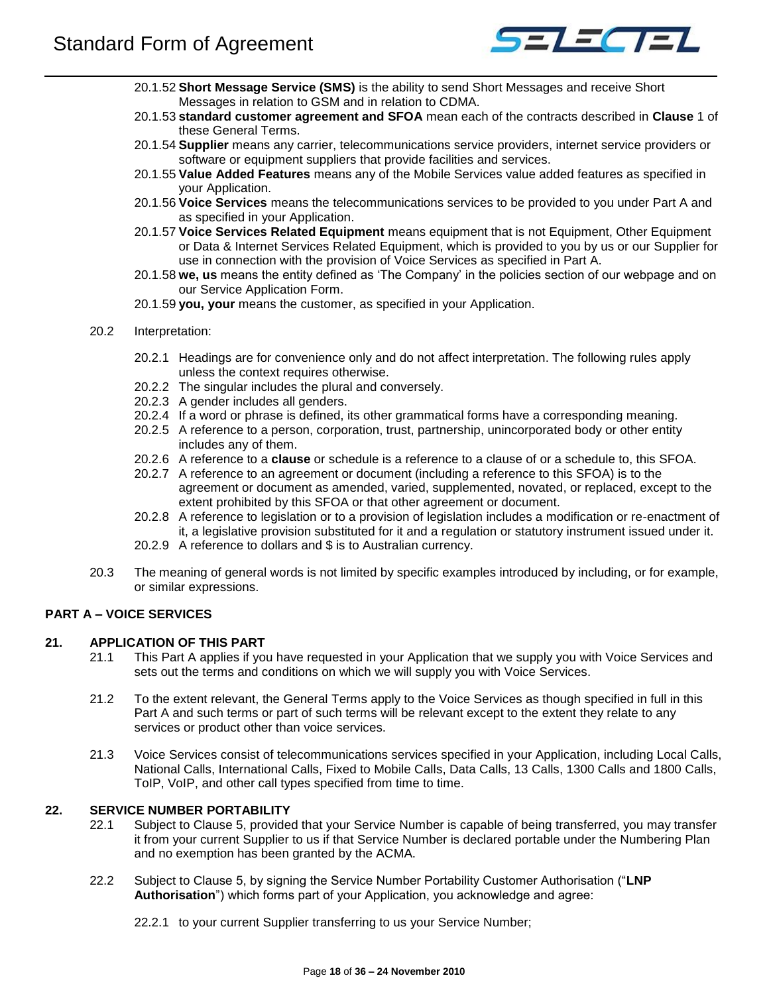

- 20.1.52 **Short Message Service (SMS)** is the ability to send Short Messages and receive Short Messages in relation to GSM and in relation to CDMA.
- 20.1.53 **standard customer agreement and SFOA** mean each of the contracts described in **Clause** 1 of these General Terms.
- 20.1.54 **Supplier** means any carrier, telecommunications service providers, internet service providers or software or equipment suppliers that provide facilities and services.
- 20.1.55 **Value Added Features** means any of the Mobile Services value added features as specified in your Application.
- 20.1.56 **Voice Services** means the telecommunications services to be provided to you under Part A and as specified in your Application.
- 20.1.57 **Voice Services Related Equipment** means equipment that is not Equipment, Other Equipment or Data & Internet Services Related Equipment, which is provided to you by us or our Supplier for use in connection with the provision of Voice Services as specified in Part A.
- 20.1.58 **we, us** means the entity defined as 'The Company' in the policies section of our webpage and on our Service Application Form.
- 20.1.59 **you, your** means the customer, as specified in your Application.
- 20.2 Interpretation:
	- 20.2.1 Headings are for convenience only and do not affect interpretation. The following rules apply unless the context requires otherwise.
	- 20.2.2 The singular includes the plural and conversely.
	- 20.2.3 A gender includes all genders.
	- 20.2.4 If a word or phrase is defined, its other grammatical forms have a corresponding meaning.
	- 20.2.5 A reference to a person, corporation, trust, partnership, unincorporated body or other entity includes any of them.
	- 20.2.6 A reference to a **clause** or schedule is a reference to a clause of or a schedule to, this SFOA.
	- 20.2.7 A reference to an agreement or document (including a reference to this SFOA) is to the agreement or document as amended, varied, supplemented, novated, or replaced, except to the extent prohibited by this SFOA or that other agreement or document.
	- 20.2.8 A reference to legislation or to a provision of legislation includes a modification or re-enactment of it, a legislative provision substituted for it and a regulation or statutory instrument issued under it.
	- 20.2.9 A reference to dollars and \$ is to Australian currency.
- 20.3 The meaning of general words is not limited by specific examples introduced by including, or for example, or similar expressions.

## <span id="page-17-0"></span>**PART A – VOICE SERVICES**

## <span id="page-17-1"></span>**21. APPLICATION OF THIS PART**

- 21.1 This Part A applies if you have requested in your Application that we supply you with Voice Services and sets out the terms and conditions on which we will supply you with Voice Services.
- 21.2 To the extent relevant, the General Terms apply to the Voice Services as though specified in full in this Part A and such terms or part of such terms will be relevant except to the extent they relate to any services or product other than voice services.
- 21.3 Voice Services consist of telecommunications services specified in your Application, including Local Calls, National Calls, International Calls, Fixed to Mobile Calls, Data Calls, 13 Calls, 1300 Calls and 1800 Calls, ToIP, VoIP, and other call types specified from time to time.

## <span id="page-17-2"></span>**22. SERVICE NUMBER PORTABILITY**

- 22.1 Subject to Clause 5, provided that your Service Number is capable of being transferred, you may transfer it from your current Supplier to us if that Service Number is declared portable under the Numbering Plan and no exemption has been granted by the ACMA.
- 22.2 Subject to Clause 5, by signing the Service Number Portability Customer Authorisation ("**LNP Authorisation**") which forms part of your Application, you acknowledge and agree:

22.2.1 to your current Supplier transferring to us your Service Number;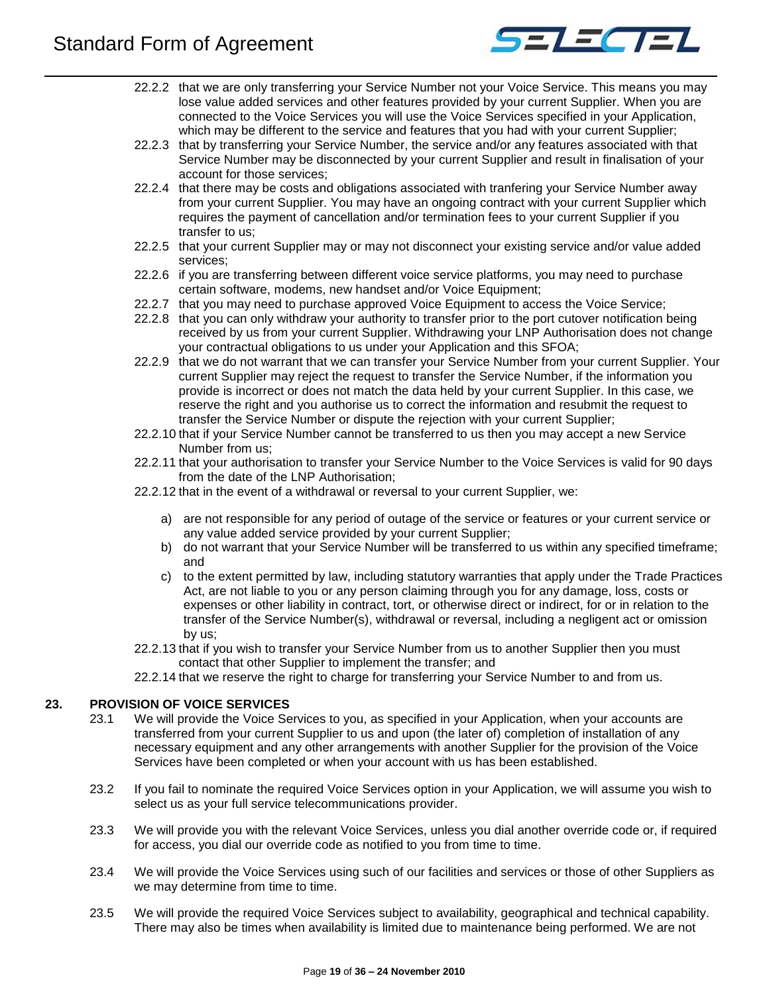

- 22.2.2 that we are only transferring your Service Number not your Voice Service. This means you may lose value added services and other features provided by your current Supplier. When you are connected to the Voice Services you will use the Voice Services specified in your Application, which may be different to the service and features that you had with your current Supplier;
- 22.2.3 that by transferring your Service Number, the service and/or any features associated with that Service Number may be disconnected by your current Supplier and result in finalisation of your account for those services;
- 22.2.4 that there may be costs and obligations associated with tranfering your Service Number away from your current Supplier. You may have an ongoing contract with your current Supplier which requires the payment of cancellation and/or termination fees to your current Supplier if you transfer to us;
- 22.2.5 that your current Supplier may or may not disconnect your existing service and/or value added services;
- 22.2.6 if you are transferring between different voice service platforms, you may need to purchase certain software, modems, new handset and/or Voice Equipment;
- 22.2.7 that you may need to purchase approved Voice Equipment to access the Voice Service;
- 22.2.8 that you can only withdraw your authority to transfer prior to the port cutover notification being received by us from your current Supplier. Withdrawing your LNP Authorisation does not change your contractual obligations to us under your Application and this SFOA;
- 22.2.9 that we do not warrant that we can transfer your Service Number from your current Supplier. Your current Supplier may reject the request to transfer the Service Number, if the information you provide is incorrect or does not match the data held by your current Supplier. In this case, we reserve the right and you authorise us to correct the information and resubmit the request to transfer the Service Number or dispute the rejection with your current Supplier;
- 22.2.10 that if your Service Number cannot be transferred to us then you may accept a new Service Number from us;
- 22.2.11 that your authorisation to transfer your Service Number to the Voice Services is valid for 90 days from the date of the LNP Authorisation;
- 22.2.12 that in the event of a withdrawal or reversal to your current Supplier, we:
	- a) are not responsible for any period of outage of the service or features or your current service or any value added service provided by your current Supplier;
	- b) do not warrant that your Service Number will be transferred to us within any specified timeframe; and
	- c) to the extent permitted by law, including statutory warranties that apply under the Trade Practices Act, are not liable to you or any person claiming through you for any damage, loss, costs or expenses or other liability in contract, tort, or otherwise direct or indirect, for or in relation to the transfer of the Service Number(s), withdrawal or reversal, including a negligent act or omission by us;
- 22.2.13 that if you wish to transfer your Service Number from us to another Supplier then you must contact that other Supplier to implement the transfer; and

22.2.14 that we reserve the right to charge for transferring your Service Number to and from us.

## <span id="page-18-0"></span>**23. PROVISION OF VOICE SERVICES**

- 23.1 We will provide the Voice Services to you, as specified in your Application, when your accounts are transferred from your current Supplier to us and upon (the later of) completion of installation of any necessary equipment and any other arrangements with another Supplier for the provision of the Voice Services have been completed or when your account with us has been established.
- 23.2 If you fail to nominate the required Voice Services option in your Application, we will assume you wish to select us as your full service telecommunications provider.
- 23.3 We will provide you with the relevant Voice Services, unless you dial another override code or, if required for access, you dial our override code as notified to you from time to time.
- 23.4 We will provide the Voice Services using such of our facilities and services or those of other Suppliers as we may determine from time to time.
- 23.5 We will provide the required Voice Services subject to availability, geographical and technical capability. There may also be times when availability is limited due to maintenance being performed. We are not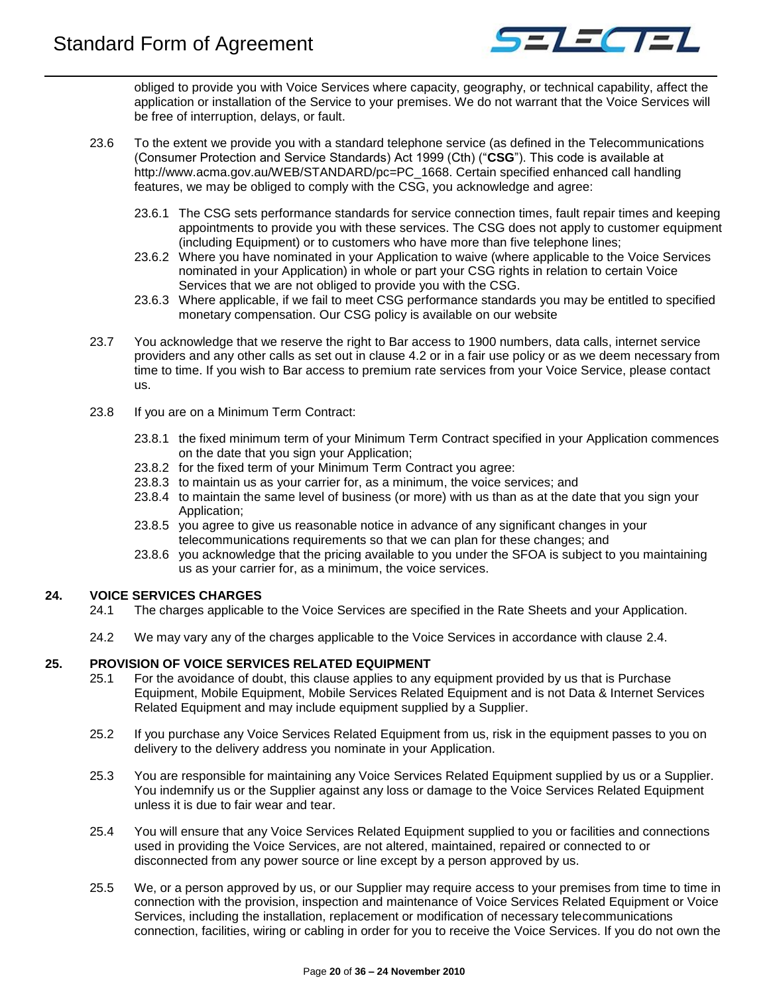

obliged to provide you with Voice Services where capacity, geography, or technical capability, affect the application or installation of the Service to your premises. We do not warrant that the Voice Services will be free of interruption, delays, or fault.

- 23.6 To the extent we provide you with a standard telephone service (as defined in the Telecommunications (Consumer Protection and Service Standards) Act 1999 (Cth) ("**CSG**"). This code is available at http://www.acma.gov.au/WEB/STANDARD/pc=PC\_1668. Certain specified enhanced call handling features, we may be obliged to comply with the CSG, you acknowledge and agree:
	- 23.6.1 The CSG sets performance standards for service connection times, fault repair times and keeping appointments to provide you with these services. The CSG does not apply to customer equipment (including Equipment) or to customers who have more than five telephone lines;
	- 23.6.2 Where you have nominated in your Application to waive (where applicable to the Voice Services nominated in your Application) in whole or part your CSG rights in relation to certain Voice Services that we are not obliged to provide you with the CSG.
	- 23.6.3 Where applicable, if we fail to meet CSG performance standards you may be entitled to specified monetary compensation. Our CSG policy is available on our website
- 23.7 You acknowledge that we reserve the right to Bar access to 1900 numbers, data calls, internet service providers and any other calls as set out in clause 4.2 or in a fair use policy or as we deem necessary from time to time. If you wish to Bar access to premium rate services from your Voice Service, please contact us.
- 23.8 If you are on a Minimum Term Contract:
	- 23.8.1 the fixed minimum term of your Minimum Term Contract specified in your Application commences on the date that you sign your Application;
	- 23.8.2 for the fixed term of your Minimum Term Contract you agree:
	- 23.8.3 to maintain us as your carrier for, as a minimum, the voice services; and
	- 23.8.4 to maintain the same level of business (or more) with us than as at the date that you sign your Application;
	- 23.8.5 you agree to give us reasonable notice in advance of any significant changes in your telecommunications requirements so that we can plan for these changes; and
	- 23.8.6 you acknowledge that the pricing available to you under the SFOA is subject to you maintaining us as your carrier for, as a minimum, the voice services.

## <span id="page-19-0"></span>**24. VOICE SERVICES CHARGES**

- 24.1 The charges applicable to the Voice Services are specified in the Rate Sheets and your Application.
- 24.2 We may vary any of the charges applicable to the Voice Services in accordance with clause [2.4.](#page-4-1)

## <span id="page-19-1"></span>**25. PROVISION OF VOICE SERVICES RELATED EQUIPMENT**

- 25.1 For the avoidance of doubt, this clause applies to any equipment provided by us that is Purchase Equipment, Mobile Equipment, Mobile Services Related Equipment and is not Data & Internet Services Related Equipment and may include equipment supplied by a Supplier.
- 25.2 If you purchase any Voice Services Related Equipment from us, risk in the equipment passes to you on delivery to the delivery address you nominate in your Application.
- 25.3 You are responsible for maintaining any Voice Services Related Equipment supplied by us or a Supplier. You indemnify us or the Supplier against any loss or damage to the Voice Services Related Equipment unless it is due to fair wear and tear.
- 25.4 You will ensure that any Voice Services Related Equipment supplied to you or facilities and connections used in providing the Voice Services, are not altered, maintained, repaired or connected to or disconnected from any power source or line except by a person approved by us.
- 25.5 We, or a person approved by us, or our Supplier may require access to your premises from time to time in connection with the provision, inspection and maintenance of Voice Services Related Equipment or Voice Services, including the installation, replacement or modification of necessary telecommunications connection, facilities, wiring or cabling in order for you to receive the Voice Services. If you do not own the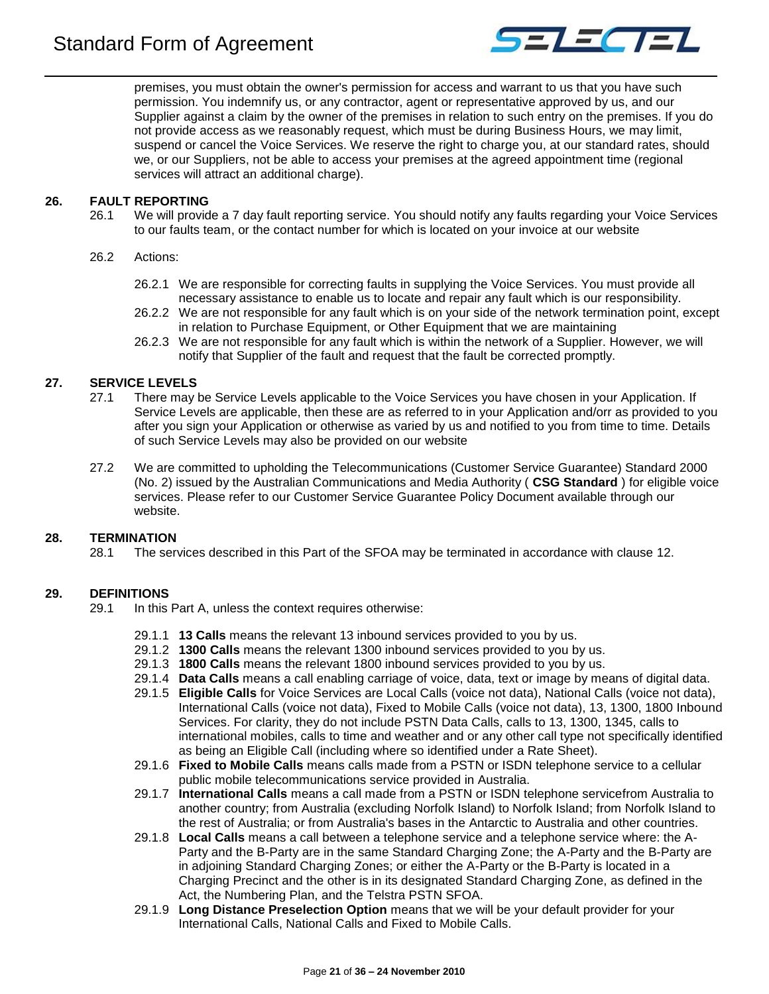

premises, you must obtain the owner's permission for access and warrant to us that you have such permission. You indemnify us, or any contractor, agent or representative approved by us, and our Supplier against a claim by the owner of the premises in relation to such entry on the premises. If you do not provide access as we reasonably request, which must be during Business Hours, we may limit, suspend or cancel the Voice Services. We reserve the right to charge you, at our standard rates, should we, or our Suppliers, not be able to access your premises at the agreed appointment time (regional services will attract an additional charge).

## <span id="page-20-0"></span>**26. FAULT REPORTING**

26.1 We will provide a 7 day fault reporting service. You should notify any faults regarding your Voice Services to our faults team, or the contact number for which is located on your invoice at our website

## 26.2 Actions:

- 26.2.1 We are responsible for correcting faults in supplying the Voice Services. You must provide all necessary assistance to enable us to locate and repair any fault which is our responsibility.
- 26.2.2 We are not responsible for any fault which is on your side of the network termination point, except in relation to Purchase Equipment, or Other Equipment that we are maintaining
- 26.2.3 We are not responsible for any fault which is within the network of a Supplier. However, we will notify that Supplier of the fault and request that the fault be corrected promptly.

## <span id="page-20-1"></span>**27. SERVICE LEVELS**

- 27.1 There may be Service Levels applicable to the Voice Services you have chosen in your Application. If Service Levels are applicable, then these are as referred to in your Application and/orr as provided to you after you sign your Application or otherwise as varied by us and notified to you from time to time. Details of such Service Levels may also be provided on our website
- 27.2 We are committed to upholding the Telecommunications (Customer Service Guarantee) Standard 2000 (No. 2) issued by the Australian Communications and Media Authority ( **CSG Standard** ) for eligible voice services. Please refer to our Customer Service Guarantee Policy Document available through our website.

## <span id="page-20-2"></span>**28. TERMINATION**

28.1 The services described in this Part of the SFOA may be terminated in accordance with clause [12.](#page-10-0)

## <span id="page-20-3"></span>**29. DEFINITIONS**

29.1 In this Part A, unless the context requires otherwise:

- 29.1.1 **13 Calls** means the relevant 13 inbound services provided to you by us.
- 29.1.2 **1300 Calls** means the relevant 1300 inbound services provided to you by us.
- 29.1.3 **1800 Calls** means the relevant 1800 inbound services provided to you by us.
- 29.1.4 **Data Calls** means a call enabling carriage of voice, data, text or image by means of digital data.
- 29.1.5 **Eligible Calls** for Voice Services are Local Calls (voice not data), National Calls (voice not data), International Calls (voice not data), Fixed to Mobile Calls (voice not data), 13, 1300, 1800 Inbound Services. For clarity, they do not include PSTN Data Calls, calls to 13, 1300, 1345, calls to international mobiles, calls to time and weather and or any other call type not specifically identified as being an Eligible Call (including where so identified under a Rate Sheet).
- 29.1.6 **Fixed to Mobile Calls** means calls made from a PSTN or ISDN telephone service to a cellular public mobile telecommunications service provided in Australia.
- 29.1.7 **International Calls** means a call made from a PSTN or ISDN telephone servicefrom Australia to another country; from Australia (excluding Norfolk Island) to Norfolk Island; from Norfolk Island to the rest of Australia; or from Australia's bases in the Antarctic to Australia and other countries.
- 29.1.8 **Local Calls** means a call between a telephone service and a telephone service where: the A-Party and the B-Party are in the same Standard Charging Zone; the A-Party and the B-Party are in adjoining Standard Charging Zones; or either the A-Party or the B-Party is located in a Charging Precinct and the other is in its designated Standard Charging Zone, as defined in the Act, the Numbering Plan, and the Telstra PSTN SFOA.
- 29.1.9 **Long Distance Preselection Option** means that we will be your default provider for your International Calls, National Calls and Fixed to Mobile Calls.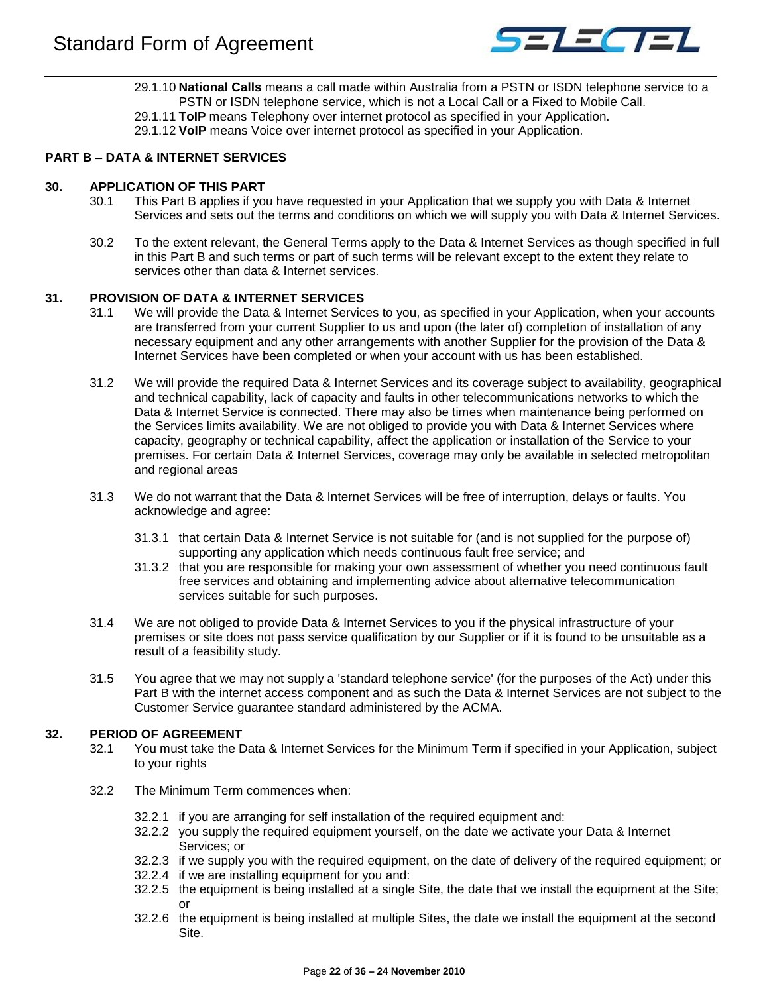

- 29.1.10 **National Calls** means a call made within Australia from a PSTN or ISDN telephone service to a PSTN or ISDN telephone service, which is not a Local Call or a Fixed to Mobile Call.
- 29.1.11 **ToIP** means Telephony over internet protocol as specified in your Application.
- 29.1.12 **VoIP** means Voice over internet protocol as specified in your Application.

## <span id="page-21-0"></span>**PART B – DATA & INTERNET SERVICES**

## <span id="page-21-1"></span>**30. APPLICATION OF THIS PART**

- 30.1 This Part B applies if you have requested in your Application that we supply you with Data & Internet Services and sets out the terms and conditions on which we will supply you with Data & Internet Services.
- 30.2 To the extent relevant, the General Terms apply to the Data & Internet Services as though specified in full in this Part B and such terms or part of such terms will be relevant except to the extent they relate to services other than data & Internet services.

## <span id="page-21-2"></span>**31. PROVISION OF DATA & INTERNET SERVICES**

- 31.1 We will provide the Data & Internet Services to you, as specified in your Application, when your accounts are transferred from your current Supplier to us and upon (the later of) completion of installation of any necessary equipment and any other arrangements with another Supplier for the provision of the Data & Internet Services have been completed or when your account with us has been established.
- 31.2 We will provide the required Data & Internet Services and its coverage subject to availability, geographical and technical capability, lack of capacity and faults in other telecommunications networks to which the Data & Internet Service is connected. There may also be times when maintenance being performed on the Services limits availability. We are not obliged to provide you with Data & Internet Services where capacity, geography or technical capability, affect the application or installation of the Service to your premises. For certain Data & Internet Services, coverage may only be available in selected metropolitan and regional areas
- 31.3 We do not warrant that the Data & Internet Services will be free of interruption, delays or faults. You acknowledge and agree:
	- 31.3.1 that certain Data & Internet Service is not suitable for (and is not supplied for the purpose of) supporting any application which needs continuous fault free service; and
	- 31.3.2 that you are responsible for making your own assessment of whether you need continuous fault free services and obtaining and implementing advice about alternative telecommunication services suitable for such purposes.
- 31.4 We are not obliged to provide Data & Internet Services to you if the physical infrastructure of your premises or site does not pass service qualification by our Supplier or if it is found to be unsuitable as a result of a feasibility study.
- 31.5 You agree that we may not supply a 'standard telephone service' (for the purposes of the Act) under this Part B with the internet access component and as such the Data & Internet Services are not subject to the Customer Service guarantee standard administered by the ACMA.

## <span id="page-21-3"></span>**32. PERIOD OF AGREEMENT**

- 32.1 You must take the Data & Internet Services for the Minimum Term if specified in your Application, subject to your rights
- 32.2 The Minimum Term commences when:
	- 32.2.1 if you are arranging for self installation of the required equipment and:
	- 32.2.2 you supply the required equipment yourself, on the date we activate your Data & Internet Services; or
	- 32.2.3 if we supply you with the required equipment, on the date of delivery of the required equipment; or
	- 32.2.4 if we are installing equipment for you and:
	- 32.2.5 the equipment is being installed at a single Site, the date that we install the equipment at the Site; or
	- 32.2.6 the equipment is being installed at multiple Sites, the date we install the equipment at the second Site.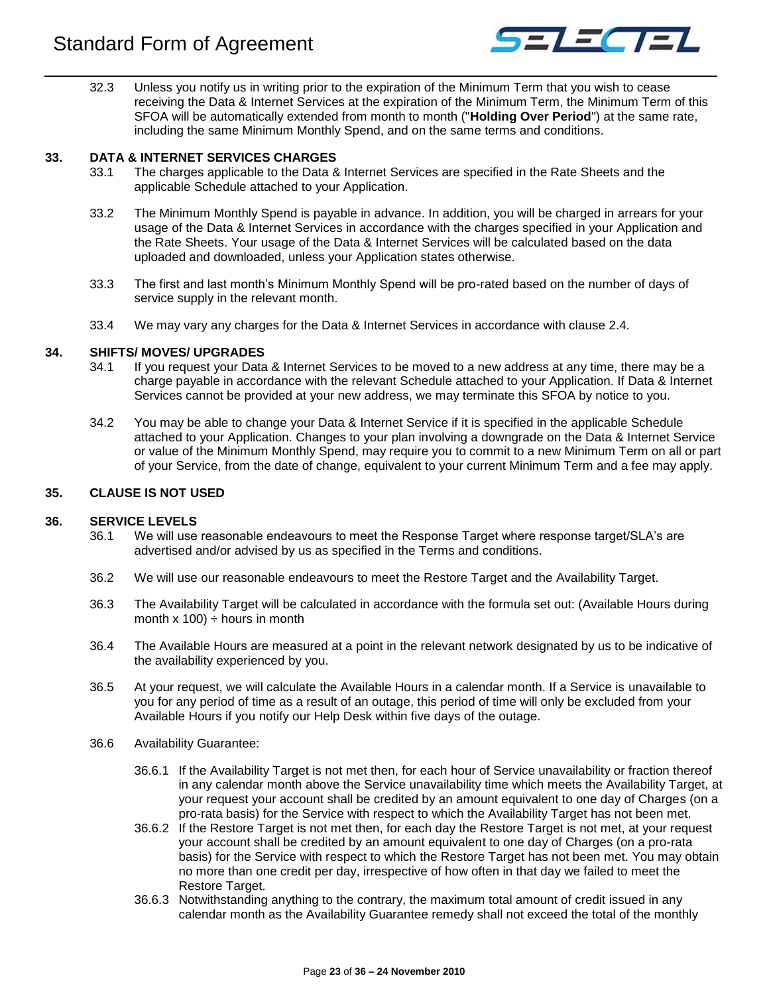

32.3 Unless you notify us in writing prior to the expiration of the Minimum Term that you wish to cease receiving the Data & Internet Services at the expiration of the Minimum Term, the Minimum Term of this SFOA will be automatically extended from month to month ("**Holding Over Period**") at the same rate, including the same Minimum Monthly Spend, and on the same terms and conditions.

## <span id="page-22-0"></span>**33. DATA & INTERNET SERVICES CHARGES**

- 33.1 The charges applicable to the Data & Internet Services are specified in the Rate Sheets and the applicable Schedule attached to your Application.
- 33.2 The Minimum Monthly Spend is payable in advance. In addition, you will be charged in arrears for your usage of the Data & Internet Services in accordance with the charges specified in your Application and the Rate Sheets. Your usage of the Data & Internet Services will be calculated based on the data uploaded and downloaded, unless your Application states otherwise.
- 33.3 The first and last month's Minimum Monthly Spend will be pro-rated based on the number of days of service supply in the relevant month.
- 33.4 We may vary any charges for the Data & Internet Services in accordance with clause [2.4.](#page-4-1)

## <span id="page-22-1"></span>**34. SHIFTS/ MOVES/ UPGRADES**

- 34.1 If you request your Data & Internet Services to be moved to a new address at any time, there may be a charge payable in accordance with the relevant Schedule attached to your Application. If Data & Internet Services cannot be provided at your new address, we may terminate this SFOA by notice to you.
- 34.2 You may be able to change your Data & Internet Service if it is specified in the applicable Schedule attached to your Application. Changes to your plan involving a downgrade on the Data & Internet Service or value of the Minimum Monthly Spend, may require you to commit to a new Minimum Term on all or part of your Service, from the date of change, equivalent to your current Minimum Term and a fee may apply.

## <span id="page-22-2"></span>**35. CLAUSE IS NOT USED**

## <span id="page-22-3"></span>**36. SERVICE LEVELS**

- 36.1 We will use reasonable endeavours to meet the Response Target where response target/SLA's are advertised and/or advised by us as specified in the Terms and conditions.
- 36.2 We will use our reasonable endeavours to meet the Restore Target and the Availability Target.
- 36.3 The Availability Target will be calculated in accordance with the formula set out: (Available Hours during month  $x$  100)  $\div$  hours in month
- 36.4 The Available Hours are measured at a point in the relevant network designated by us to be indicative of the availability experienced by you.
- 36.5 At your request, we will calculate the Available Hours in a calendar month. If a Service is unavailable to you for any period of time as a result of an outage, this period of time will only be excluded from your Available Hours if you notify our Help Desk within five days of the outage.
- 36.6 Availability Guarantee:
	- 36.6.1 If the Availability Target is not met then, for each hour of Service unavailability or fraction thereof in any calendar month above the Service unavailability time which meets the Availability Target, at your request your account shall be credited by an amount equivalent to one day of Charges (on a pro-rata basis) for the Service with respect to which the Availability Target has not been met.
	- 36.6.2 If the Restore Target is not met then, for each day the Restore Target is not met, at your request your account shall be credited by an amount equivalent to one day of Charges (on a pro-rata basis) for the Service with respect to which the Restore Target has not been met. You may obtain no more than one credit per day, irrespective of how often in that day we failed to meet the Restore Target.
	- 36.6.3 Notwithstanding anything to the contrary, the maximum total amount of credit issued in any calendar month as the Availability Guarantee remedy shall not exceed the total of the monthly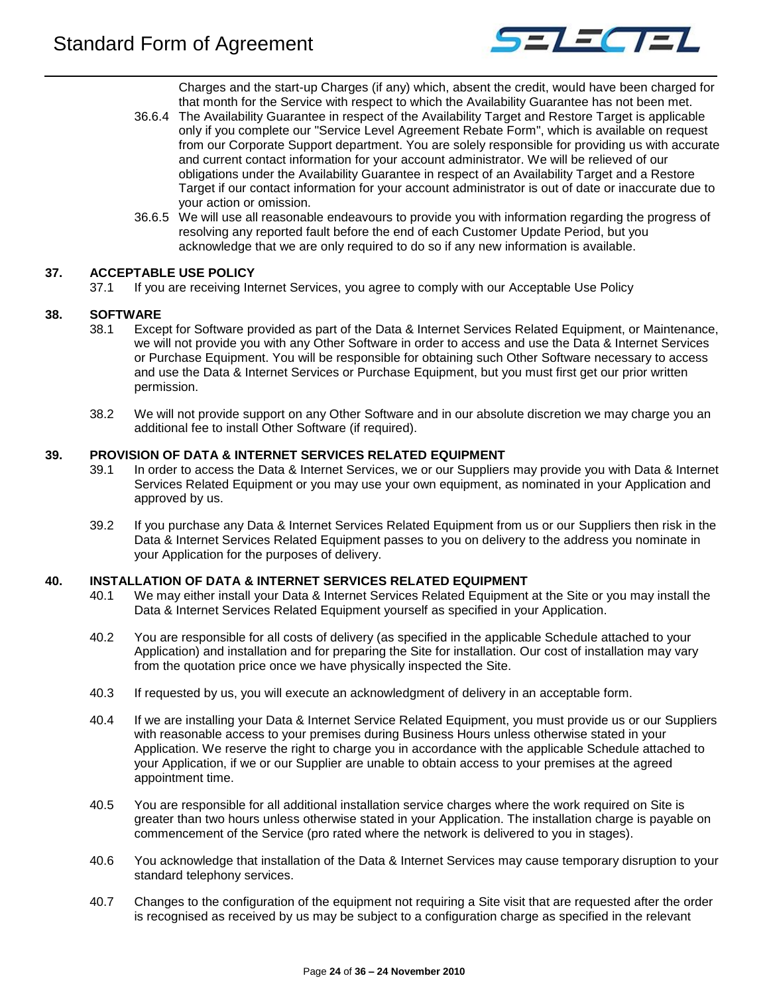

Charges and the start-up Charges (if any) which, absent the credit, would have been charged for that month for the Service with respect to which the Availability Guarantee has not been met.

- 36.6.4 The Availability Guarantee in respect of the Availability Target and Restore Target is applicable only if you complete our "Service Level Agreement Rebate Form", which is available on request from our Corporate Support department. You are solely responsible for providing us with accurate and current contact information for your account administrator. We will be relieved of our obligations under the Availability Guarantee in respect of an Availability Target and a Restore Target if our contact information for your account administrator is out of date or inaccurate due to your action or omission.
- 36.6.5 We will use all reasonable endeavours to provide you with information regarding the progress of resolving any reported fault before the end of each Customer Update Period, but you acknowledge that we are only required to do so if any new information is available.

## <span id="page-23-0"></span>**37. ACCEPTABLE USE POLICY**

37.1 If you are receiving Internet Services, you agree to comply with our Acceptable Use Policy

## <span id="page-23-1"></span>**38. SOFTWARE**

- 38.1 Except for Software provided as part of the Data & Internet Services Related Equipment, or Maintenance, we will not provide you with any Other Software in order to access and use the Data & Internet Services or Purchase Equipment. You will be responsible for obtaining such Other Software necessary to access and use the Data & Internet Services or Purchase Equipment, but you must first get our prior written permission.
- 38.2 We will not provide support on any Other Software and in our absolute discretion we may charge you an additional fee to install Other Software (if required).

## <span id="page-23-2"></span>**39. PROVISION OF DATA & INTERNET SERVICES RELATED EQUIPMENT**

- 39.1 In order to access the Data & Internet Services, we or our Suppliers may provide you with Data & Internet Services Related Equipment or you may use your own equipment, as nominated in your Application and approved by us.
- 39.2 If you purchase any Data & Internet Services Related Equipment from us or our Suppliers then risk in the Data & Internet Services Related Equipment passes to you on delivery to the address you nominate in your Application for the purposes of delivery.

## <span id="page-23-3"></span>**40. INSTALLATION OF DATA & INTERNET SERVICES RELATED EQUIPMENT**

- 40.1 We may either install your Data & Internet Services Related Equipment at the Site or you may install the Data & Internet Services Related Equipment yourself as specified in your Application.
- 40.2 You are responsible for all costs of delivery (as specified in the applicable Schedule attached to your Application) and installation and for preparing the Site for installation. Our cost of installation may vary from the quotation price once we have physically inspected the Site.
- 40.3 If requested by us, you will execute an acknowledgment of delivery in an acceptable form.
- 40.4 If we are installing your Data & Internet Service Related Equipment, you must provide us or our Suppliers with reasonable access to your premises during Business Hours unless otherwise stated in your Application. We reserve the right to charge you in accordance with the applicable Schedule attached to your Application, if we or our Supplier are unable to obtain access to your premises at the agreed appointment time.
- 40.5 You are responsible for all additional installation service charges where the work required on Site is greater than two hours unless otherwise stated in your Application. The installation charge is payable on commencement of the Service (pro rated where the network is delivered to you in stages).
- 40.6 You acknowledge that installation of the Data & Internet Services may cause temporary disruption to your standard telephony services.
- 40.7 Changes to the configuration of the equipment not requiring a Site visit that are requested after the order is recognised as received by us may be subject to a configuration charge as specified in the relevant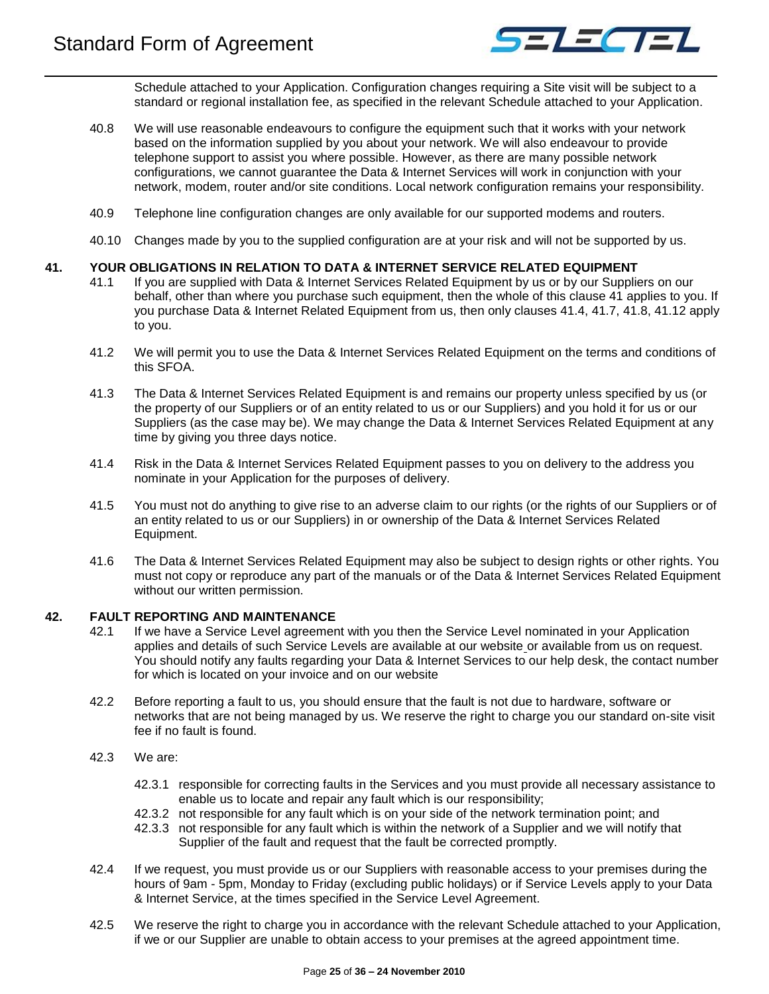

Schedule attached to your Application. Configuration changes requiring a Site visit will be subject to a standard or regional installation fee, as specified in the relevant Schedule attached to your Application.

- 40.8 We will use reasonable endeavours to configure the equipment such that it works with your network based on the information supplied by you about your network. We will also endeavour to provide telephone support to assist you where possible. However, as there are many possible network configurations, we cannot guarantee the Data & Internet Services will work in conjunction with your network, modem, router and/or site conditions. Local network configuration remains your responsibility.
- 40.9 Telephone line configuration changes are only available for our supported modems and routers.
- 40.10 Changes made by you to the supplied configuration are at your risk and will not be supported by us.

#### <span id="page-24-0"></span>**41. YOUR OBLIGATIONS IN RELATION TO DATA & INTERNET SERVICE RELATED EQUIPMENT**

- 41.1 If you are supplied with Data & Internet Services Related Equipment by us or by our Suppliers on our behalf, other than where you purchase such equipment, then the whole of this clause 41 applies to you. If you purchase Data & Internet Related Equipment from us, then only clauses 41.4, 41.7, 41.8, 41.12 apply to you.
- 41.2 We will permit you to use the Data & Internet Services Related Equipment on the terms and conditions of this SFOA.
- 41.3 The Data & Internet Services Related Equipment is and remains our property unless specified by us (or the property of our Suppliers or of an entity related to us or our Suppliers) and you hold it for us or our Suppliers (as the case may be). We may change the Data & Internet Services Related Equipment at any time by giving you three days notice.
- 41.4 Risk in the Data & Internet Services Related Equipment passes to you on delivery to the address you nominate in your Application for the purposes of delivery.
- 41.5 You must not do anything to give rise to an adverse claim to our rights (or the rights of our Suppliers or of an entity related to us or our Suppliers) in or ownership of the Data & Internet Services Related Equipment.
- 41.6 The Data & Internet Services Related Equipment may also be subject to design rights or other rights. You must not copy or reproduce any part of the manuals or of the Data & Internet Services Related Equipment without our written permission.

## <span id="page-24-1"></span>**42. FAULT REPORTING AND MAINTENANCE**

- 42.1 If we have a Service Level agreement with you then the Service Level nominated in your Application applies and details of such Service Levels are available at our website or available from us on request. You should notify any faults regarding your Data & Internet Services to our help desk, the contact number for which is located on your invoice and on our website
- 42.2 Before reporting a fault to us, you should ensure that the fault is not due to hardware, software or networks that are not being managed by us. We reserve the right to charge you our standard on-site visit fee if no fault is found.
- 42.3 We are:
	- 42.3.1 responsible for correcting faults in the Services and you must provide all necessary assistance to enable us to locate and repair any fault which is our responsibility;
	- 42.3.2 not responsible for any fault which is on your side of the network termination point; and
	- 42.3.3 not responsible for any fault which is within the network of a Supplier and we will notify that Supplier of the fault and request that the fault be corrected promptly.
- 42.4 If we request, you must provide us or our Suppliers with reasonable access to your premises during the hours of 9am - 5pm, Monday to Friday (excluding public holidays) or if Service Levels apply to your Data & Internet Service, at the times specified in the Service Level Agreement.
- 42.5 We reserve the right to charge you in accordance with the relevant Schedule attached to your Application, if we or our Supplier are unable to obtain access to your premises at the agreed appointment time.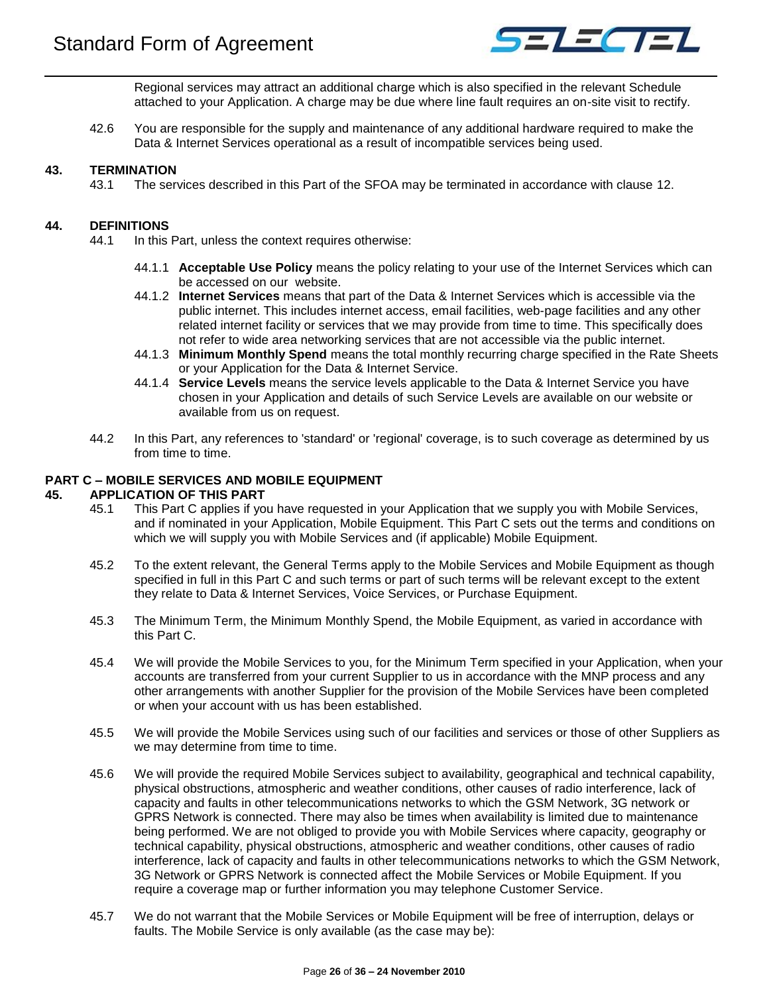

Regional services may attract an additional charge which is also specified in the relevant Schedule attached to your Application. A charge may be due where line fault requires an on-site visit to rectify.

42.6 You are responsible for the supply and maintenance of any additional hardware required to make the Data & Internet Services operational as a result of incompatible services being used.

## <span id="page-25-0"></span>**43. TERMINATION**

43.1 The services described in this Part of the SFOA may be terminated in accordance with clause [12.](#page-10-0)

## <span id="page-25-1"></span>**44. DEFINITIONS**

- 44.1 In this Part, unless the context requires otherwise:
	- 44.1.1 **Acceptable Use Policy** means the policy relating to your use of the Internet Services which can be accessed on our website.
	- 44.1.2 **Internet Services** means that part of the Data & Internet Services which is accessible via the public internet. This includes internet access, email facilities, web-page facilities and any other related internet facility or services that we may provide from time to time. This specifically does not refer to wide area networking services that are not accessible via the public internet.
	- 44.1.3 **Minimum Monthly Spend** means the total monthly recurring charge specified in the Rate Sheets or your Application for the Data & Internet Service.
	- 44.1.4 **Service Levels** means the service levels applicable to the Data & Internet Service you have chosen in your Application and details of such Service Levels are available on our website or available from us on request.
- 44.2 In this Part, any references to 'standard' or 'regional' coverage, is to such coverage as determined by us from time to time.

#### <span id="page-25-2"></span>**PART C – MOBILE SERVICES AND MOBILE EQUIPMENT**

#### <span id="page-25-3"></span>**45. APPLICATION OF THIS PART**

- 45.1 This Part C applies if you have requested in your Application that we supply you with Mobile Services, and if nominated in your Application, Mobile Equipment. This Part C sets out the terms and conditions on which we will supply you with Mobile Services and (if applicable) Mobile Equipment.
- 45.2 To the extent relevant, the General Terms apply to the Mobile Services and Mobile Equipment as though specified in full in this Part C and such terms or part of such terms will be relevant except to the extent they relate to Data & Internet Services, Voice Services, or Purchase Equipment.
- 45.3 The Minimum Term, the Minimum Monthly Spend, the Mobile Equipment, as varied in accordance with this Part C.
- 45.4 We will provide the Mobile Services to you, for the Minimum Term specified in your Application, when your accounts are transferred from your current Supplier to us in accordance with the MNP process and any other arrangements with another Supplier for the provision of the Mobile Services have been completed or when your account with us has been established.
- 45.5 We will provide the Mobile Services using such of our facilities and services or those of other Suppliers as we may determine from time to time.
- 45.6 We will provide the required Mobile Services subject to availability, geographical and technical capability, physical obstructions, atmospheric and weather conditions, other causes of radio interference, lack of capacity and faults in other telecommunications networks to which the GSM Network, 3G network or GPRS Network is connected. There may also be times when availability is limited due to maintenance being performed. We are not obliged to provide you with Mobile Services where capacity, geography or technical capability, physical obstructions, atmospheric and weather conditions, other causes of radio interference, lack of capacity and faults in other telecommunications networks to which the GSM Network, 3G Network or GPRS Network is connected affect the Mobile Services or Mobile Equipment. If you require a coverage map or further information you may telephone Customer Service.
- 45.7 We do not warrant that the Mobile Services or Mobile Equipment will be free of interruption, delays or faults. The Mobile Service is only available (as the case may be):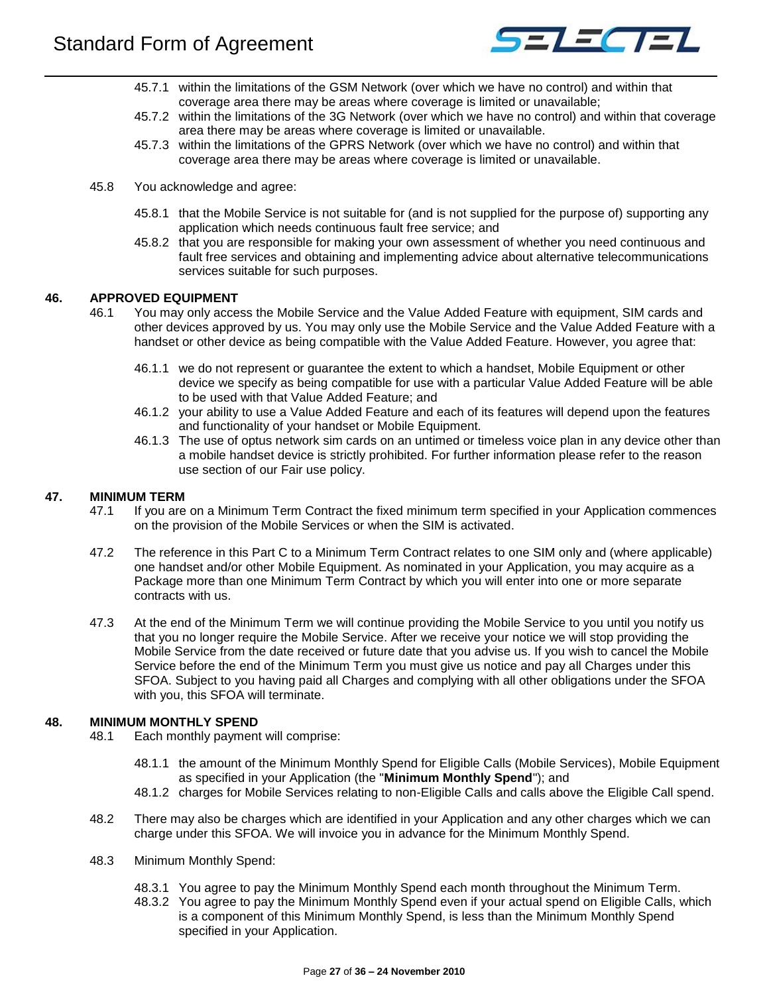

- 45.7.1 within the limitations of the GSM Network (over which we have no control) and within that coverage area there may be areas where coverage is limited or unavailable;
- 45.7.2 within the limitations of the 3G Network (over which we have no control) and within that coverage area there may be areas where coverage is limited or unavailable.
- 45.7.3 within the limitations of the GPRS Network (over which we have no control) and within that coverage area there may be areas where coverage is limited or unavailable.
- 45.8 You acknowledge and agree:
	- 45.8.1 that the Mobile Service is not suitable for (and is not supplied for the purpose of) supporting any application which needs continuous fault free service; and
	- 45.8.2 that you are responsible for making your own assessment of whether you need continuous and fault free services and obtaining and implementing advice about alternative telecommunications services suitable for such purposes.

## <span id="page-26-0"></span>**46. APPROVED EQUIPMENT**

- 46.1 You may only access the Mobile Service and the Value Added Feature with equipment, SIM cards and other devices approved by us. You may only use the Mobile Service and the Value Added Feature with a handset or other device as being compatible with the Value Added Feature. However, you agree that:
	- 46.1.1 we do not represent or guarantee the extent to which a handset, Mobile Equipment or other device we specify as being compatible for use with a particular Value Added Feature will be able to be used with that Value Added Feature; and
	- 46.1.2 your ability to use a Value Added Feature and each of its features will depend upon the features and functionality of your handset or Mobile Equipment.
	- 46.1.3 The use of optus network sim cards on an untimed or timeless voice plan in any device other than a mobile handset device is strictly prohibited. For further information please refer to the reason use section of our Fair use policy.

#### <span id="page-26-1"></span>**47. MINIMUM TERM**

- 47.1 If you are on a Minimum Term Contract the fixed minimum term specified in your Application commences on the provision of the Mobile Services or when the SIM is activated.
- 47.2 The reference in this Part C to a Minimum Term Contract relates to one SIM only and (where applicable) one handset and/or other Mobile Equipment. As nominated in your Application, you may acquire as a Package more than one Minimum Term Contract by which you will enter into one or more separate contracts with us.
- 47.3 At the end of the Minimum Term we will continue providing the Mobile Service to you until you notify us that you no longer require the Mobile Service. After we receive your notice we will stop providing the Mobile Service from the date received or future date that you advise us. If you wish to cancel the Mobile Service before the end of the Minimum Term you must give us notice and pay all Charges under this SFOA. Subject to you having paid all Charges and complying with all other obligations under the SFOA with you, this SFOA will terminate.

## <span id="page-26-2"></span>**48. MINIMUM MONTHLY SPEND**

- 48.1 Each monthly payment will comprise:
	- 48.1.1 the amount of the Minimum Monthly Spend for Eligible Calls (Mobile Services), Mobile Equipment as specified in your Application (the "**Minimum Monthly Spend**"); and
	- 48.1.2 charges for Mobile Services relating to non-Eligible Calls and calls above the Eligible Call spend.
- 48.2 There may also be charges which are identified in your Application and any other charges which we can charge under this SFOA. We will invoice you in advance for the Minimum Monthly Spend.
- 48.3 Minimum Monthly Spend:
	- 48.3.1 You agree to pay the Minimum Monthly Spend each month throughout the Minimum Term.
	- 48.3.2 You agree to pay the Minimum Monthly Spend even if your actual spend on Eligible Calls, which is a component of this Minimum Monthly Spend, is less than the Minimum Monthly Spend specified in your Application.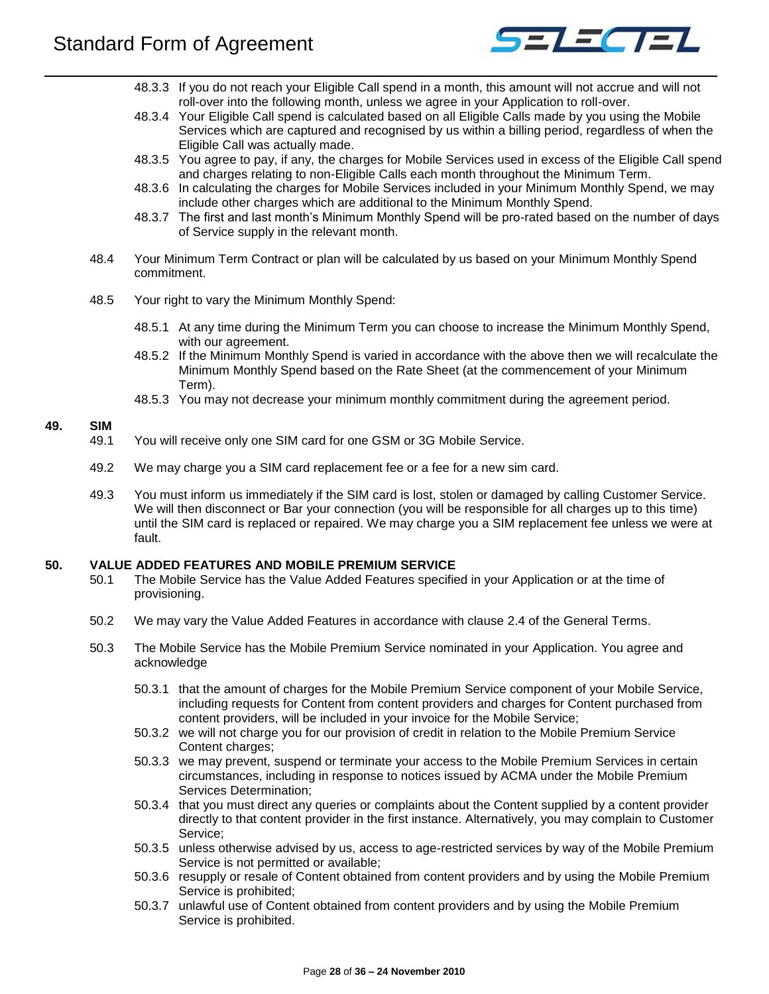

- 48.3.3 If you do not reach your Eligible Call spend in a month, this amount will not accrue and will not roll-over into the following month, unless we agree in your Application to roll-over.
- 48.3.4 Your Eligible Call spend is calculated based on all Eligible Calls made by you using the Mobile Services which are captured and recognised by us within a billing period, regardless of when the Eligible Call was actually made.
- 48.3.5 You agree to pay, if any, the charges for Mobile Services used in excess of the Eligible Call spend and charges relating to non-Eligible Calls each month throughout the Minimum Term.
- 48.3.6 In calculating the charges for Mobile Services included in your Minimum Monthly Spend, we may include other charges which are additional to the Minimum Monthly Spend.
- 48.3.7 The first and last month's Minimum Monthly Spend will be pro-rated based on the number of days of Service supply in the relevant month.
- 48.4 Your Minimum Term Contract or plan will be calculated by us based on your Minimum Monthly Spend commitment.
- 48.5 Your right to vary the Minimum Monthly Spend:
	- 48.5.1 At any time during the Minimum Term you can choose to increase the Minimum Monthly Spend, with our agreement.
	- 48.5.2 If the Minimum Monthly Spend is varied in accordance with the above then we will recalculate the Minimum Monthly Spend based on the Rate Sheet (at the commencement of your Minimum Term).
	- 48.5.3 You may not decrease your minimum monthly commitment during the agreement period.

## <span id="page-27-0"></span>**49. SIM**

- 49.1 You will receive only one SIM card for one GSM or 3G Mobile Service.
- 49.2 We may charge you a SIM card replacement fee or a fee for a new sim card.
- 49.3 You must inform us immediately if the SIM card is lost, stolen or damaged by calling Customer Service. We will then disconnect or Bar your connection (you will be responsible for all charges up to this time) until the SIM card is replaced or repaired. We may charge you a SIM replacement fee unless we were at fault.

## <span id="page-27-1"></span>**50. VALUE ADDED FEATURES AND MOBILE PREMIUM SERVICE**

- 50.1 The Mobile Service has the Value Added Features specified in your Application or at the time of provisioning.
- 50.2 We may vary the Value Added Features in accordance with clause [2.4](#page-4-1) of the General Terms.
- 50.3 The Mobile Service has the Mobile Premium Service nominated in your Application. You agree and acknowledge
	- 50.3.1 that the amount of charges for the Mobile Premium Service component of your Mobile Service, including requests for Content from content providers and charges for Content purchased from content providers, will be included in your invoice for the Mobile Service;
	- 50.3.2 we will not charge you for our provision of credit in relation to the Mobile Premium Service Content charges;
	- 50.3.3 we may prevent, suspend or terminate your access to the Mobile Premium Services in certain circumstances, including in response to notices issued by ACMA under the Mobile Premium Services Determination;
	- 50.3.4 that you must direct any queries or complaints about the Content supplied by a content provider directly to that content provider in the first instance. Alternatively, you may complain to Customer Service;
	- 50.3.5 unless otherwise advised by us, access to age-restricted services by way of the Mobile Premium Service is not permitted or available;
	- 50.3.6 resupply or resale of Content obtained from content providers and by using the Mobile Premium Service is prohibited;
	- 50.3.7 unlawful use of Content obtained from content providers and by using the Mobile Premium Service is prohibited.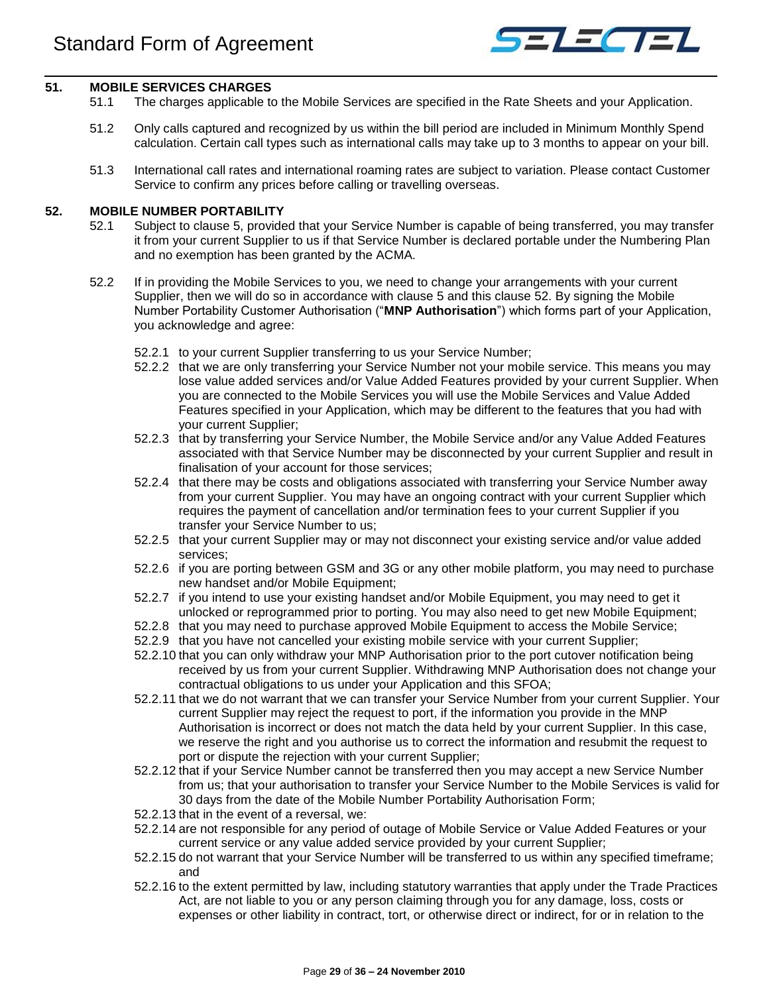

## <span id="page-28-0"></span>**51. MOBILE SERVICES CHARGES**

- 51.1 The charges applicable to the Mobile Services are specified in the Rate Sheets and your Application.
- 51.2 Only calls captured and recognized by us within the bill period are included in Minimum Monthly Spend calculation. Certain call types such as international calls may take up to 3 months to appear on your bill.
- 51.3 International call rates and international roaming rates are subject to variation. Please contact Customer Service to confirm any prices before calling or travelling overseas.

## <span id="page-28-1"></span>**52. MOBILE NUMBER PORTABILITY**

- 52.1 Subject to clause 5, provided that your Service Number is capable of being transferred, you may transfer it from your current Supplier to us if that Service Number is declared portable under the Numbering Plan and no exemption has been granted by the ACMA.
- 52.2 If in providing the Mobile Services to you, we need to change your arrangements with your current Supplier, then we will do so in accordance with clause 5 and this clause 52. By signing the Mobile Number Portability Customer Authorisation ("**MNP Authorisation**") which forms part of your Application, you acknowledge and agree:
	- 52.2.1 to your current Supplier transferring to us your Service Number;
	- 52.2.2 that we are only transferring your Service Number not your mobile service. This means you may lose value added services and/or Value Added Features provided by your current Supplier. When you are connected to the Mobile Services you will use the Mobile Services and Value Added Features specified in your Application, which may be different to the features that you had with your current Supplier;
	- 52.2.3 that by transferring your Service Number, the Mobile Service and/or any Value Added Features associated with that Service Number may be disconnected by your current Supplier and result in finalisation of your account for those services;
	- 52.2.4 that there may be costs and obligations associated with transferring your Service Number away from your current Supplier. You may have an ongoing contract with your current Supplier which requires the payment of cancellation and/or termination fees to your current Supplier if you transfer your Service Number to us;
	- 52.2.5 that your current Supplier may or may not disconnect your existing service and/or value added services;
	- 52.2.6 if you are porting between GSM and 3G or any other mobile platform, you may need to purchase new handset and/or Mobile Equipment;
	- 52.2.7 if you intend to use your existing handset and/or Mobile Equipment, you may need to get it unlocked or reprogrammed prior to porting. You may also need to get new Mobile Equipment;
	- 52.2.8 that you may need to purchase approved Mobile Equipment to access the Mobile Service;
	- 52.2.9 that you have not cancelled your existing mobile service with your current Supplier;
	- 52.2.10 that you can only withdraw your MNP Authorisation prior to the port cutover notification being received by us from your current Supplier. Withdrawing MNP Authorisation does not change your contractual obligations to us under your Application and this SFOA;
	- 52.2.11 that we do not warrant that we can transfer your Service Number from your current Supplier. Your current Supplier may reject the request to port, if the information you provide in the MNP Authorisation is incorrect or does not match the data held by your current Supplier. In this case, we reserve the right and you authorise us to correct the information and resubmit the request to port or dispute the rejection with your current Supplier;
	- 52.2.12 that if your Service Number cannot be transferred then you may accept a new Service Number from us; that your authorisation to transfer your Service Number to the Mobile Services is valid for 30 days from the date of the Mobile Number Portability Authorisation Form;
	- 52.2.13 that in the event of a reversal, we:
	- 52.2.14 are not responsible for any period of outage of Mobile Service or Value Added Features or your current service or any value added service provided by your current Supplier;
	- 52.2.15 do not warrant that your Service Number will be transferred to us within any specified timeframe; and
	- 52.2.16 to the extent permitted by law, including statutory warranties that apply under the Trade Practices Act, are not liable to you or any person claiming through you for any damage, loss, costs or expenses or other liability in contract, tort, or otherwise direct or indirect, for or in relation to the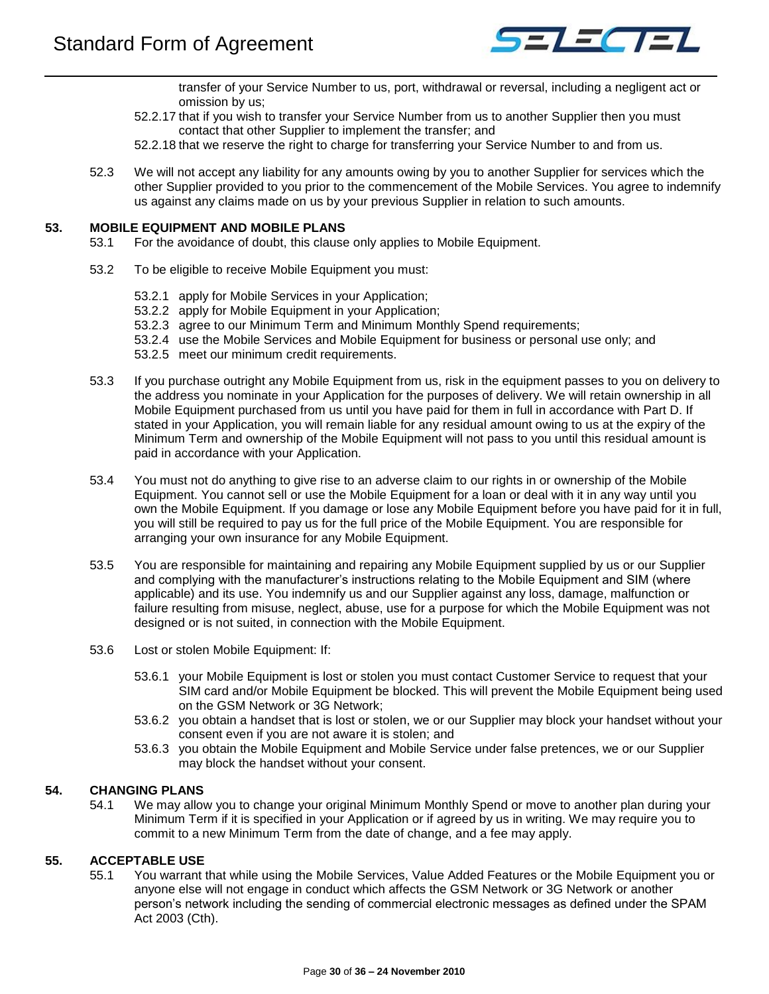

transfer of your Service Number to us, port, withdrawal or reversal, including a negligent act or omission by us;

- 52.2.17 that if you wish to transfer your Service Number from us to another Supplier then you must contact that other Supplier to implement the transfer; and
- 52.2.18 that we reserve the right to charge for transferring your Service Number to and from us.
- 52.3 We will not accept any liability for any amounts owing by you to another Supplier for services which the other Supplier provided to you prior to the commencement of the Mobile Services. You agree to indemnify us against any claims made on us by your previous Supplier in relation to such amounts.

#### <span id="page-29-0"></span>**53. MOBILE EQUIPMENT AND MOBILE PLANS**

- 53.1 For the avoidance of doubt, this clause only applies to Mobile Equipment.
	- 53.2 To be eligible to receive Mobile Equipment you must:
		- 53.2.1 apply for Mobile Services in your Application;
		- 53.2.2 apply for Mobile Equipment in your Application;
		- 53.2.3 agree to our Minimum Term and Minimum Monthly Spend requirements;
		- 53.2.4 use the Mobile Services and Mobile Equipment for business or personal use only; and
		- 53.2.5 meet our minimum credit requirements.
	- 53.3 If you purchase outright any Mobile Equipment from us, risk in the equipment passes to you on delivery to the address you nominate in your Application for the purposes of delivery. We will retain ownership in all Mobile Equipment purchased from us until you have paid for them in full in accordance with Part D. If stated in your Application, you will remain liable for any residual amount owing to us at the expiry of the Minimum Term and ownership of the Mobile Equipment will not pass to you until this residual amount is paid in accordance with your Application.
	- 53.4 You must not do anything to give rise to an adverse claim to our rights in or ownership of the Mobile Equipment. You cannot sell or use the Mobile Equipment for a loan or deal with it in any way until you own the Mobile Equipment. If you damage or lose any Mobile Equipment before you have paid for it in full, you will still be required to pay us for the full price of the Mobile Equipment. You are responsible for arranging your own insurance for any Mobile Equipment.
	- 53.5 You are responsible for maintaining and repairing any Mobile Equipment supplied by us or our Supplier and complying with the manufacturer's instructions relating to the Mobile Equipment and SIM (where applicable) and its use. You indemnify us and our Supplier against any loss, damage, malfunction or failure resulting from misuse, neglect, abuse, use for a purpose for which the Mobile Equipment was not designed or is not suited, in connection with the Mobile Equipment.
	- 53.6 Lost or stolen Mobile Equipment: If:
		- 53.6.1 your Mobile Equipment is lost or stolen you must contact Customer Service to request that your SIM card and/or Mobile Equipment be blocked. This will prevent the Mobile Equipment being used on the GSM Network or 3G Network;
		- 53.6.2 you obtain a handset that is lost or stolen, we or our Supplier may block your handset without your consent even if you are not aware it is stolen; and
		- 53.6.3 you obtain the Mobile Equipment and Mobile Service under false pretences, we or our Supplier may block the handset without your consent.

## <span id="page-29-1"></span>**54. CHANGING PLANS**

54.1 We may allow you to change your original Minimum Monthly Spend or move to another plan during your Minimum Term if it is specified in your Application or if agreed by us in writing. We may require you to commit to a new Minimum Term from the date of change, and a fee may apply.

## <span id="page-29-2"></span>**55. ACCEPTABLE USE**

55.1 You warrant that while using the Mobile Services, Value Added Features or the Mobile Equipment you or anyone else will not engage in conduct which affects the GSM Network or 3G Network or another person's network including the sending of commercial electronic messages as defined under the SPAM Act 2003 (Cth).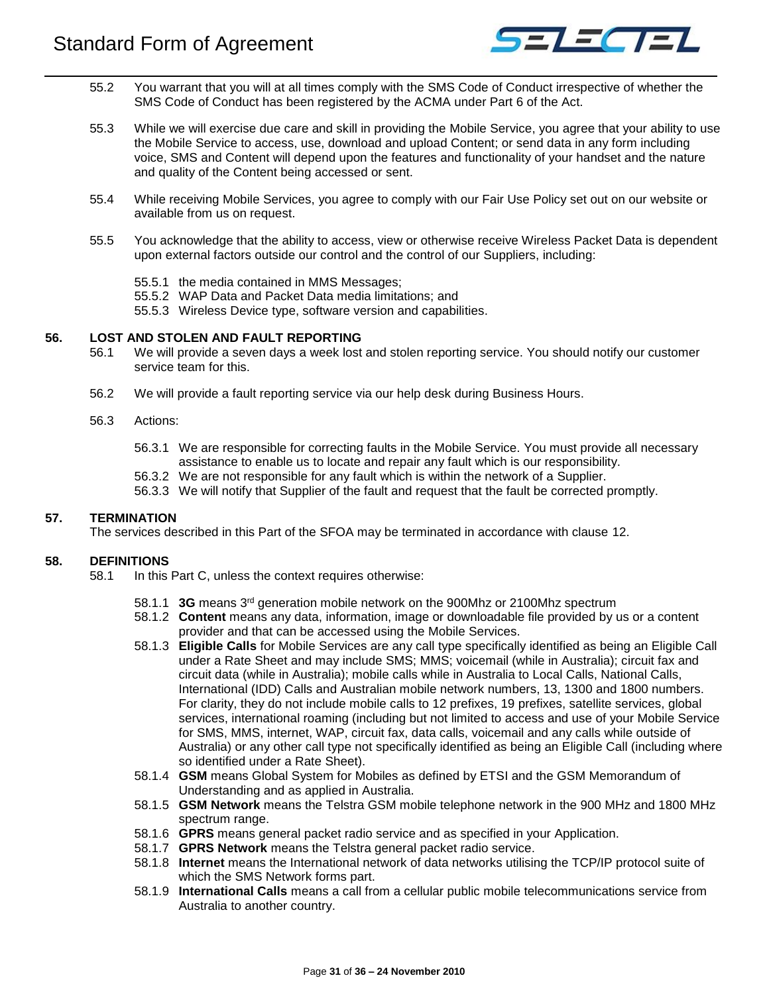

- 55.2 You warrant that you will at all times comply with the SMS Code of Conduct irrespective of whether the SMS Code of Conduct has been registered by the ACMA under Part 6 of the Act.
- 55.3 While we will exercise due care and skill in providing the Mobile Service, you agree that your ability to use the Mobile Service to access, use, download and upload Content; or send data in any form including voice, SMS and Content will depend upon the features and functionality of your handset and the nature and quality of the Content being accessed or sent.
- 55.4 While receiving Mobile Services, you agree to comply with our Fair Use Policy set out on our website or available from us on request.
- 55.5 You acknowledge that the ability to access, view or otherwise receive Wireless Packet Data is dependent upon external factors outside our control and the control of our Suppliers, including:
	- 55.5.1 the media contained in MMS Messages;
	- 55.5.2 WAP Data and Packet Data media limitations; and
	- 55.5.3 Wireless Device type, software version and capabilities.

## <span id="page-30-0"></span>**56. LOST AND STOLEN AND FAULT REPORTING**

- 56.1 We will provide a seven days a week lost and stolen reporting service. You should notify our customer service team for this.
- 56.2 We will provide a fault reporting service via our help desk during Business Hours.
- 56.3 Actions:
	- 56.3.1 We are responsible for correcting faults in the Mobile Service. You must provide all necessary assistance to enable us to locate and repair any fault which is our responsibility.
	- 56.3.2 We are not responsible for any fault which is within the network of a Supplier.
	- 56.3.3 We will notify that Supplier of the fault and request that the fault be corrected promptly.

## <span id="page-30-1"></span>**57. TERMINATION**

The services described in this Part of the SFOA may be terminated in accordance with clause [12.](#page-10-0)

## <span id="page-30-2"></span>**58. DEFINITIONS**

- 58.1 In this Part C, unless the context requires otherwise:
	- 58.1.1 **3G** means 3rd generation mobile network on the 900Mhz or 2100Mhz spectrum
	- 58.1.2 **Content** means any data, information, image or downloadable file provided by us or a content provider and that can be accessed using the Mobile Services.
	- 58.1.3 **Eligible Calls** for Mobile Services are any call type specifically identified as being an Eligible Call under a Rate Sheet and may include SMS; MMS; voicemail (while in Australia); circuit fax and circuit data (while in Australia); mobile calls while in Australia to Local Calls, National Calls, International (IDD) Calls and Australian mobile network numbers, 13, 1300 and 1800 numbers. For clarity, they do not include mobile calls to 12 prefixes, 19 prefixes, satellite services, global services, international roaming (including but not limited to access and use of your Mobile Service for SMS, MMS, internet, WAP, circuit fax, data calls, voicemail and any calls while outside of Australia) or any other call type not specifically identified as being an Eligible Call (including where so identified under a Rate Sheet).
	- 58.1.4 **GSM** means Global System for Mobiles as defined by ETSI and the GSM Memorandum of Understanding and as applied in Australia.
	- 58.1.5 **GSM Network** means the Telstra GSM mobile telephone network in the 900 MHz and 1800 MHz spectrum range.
	- 58.1.6 **GPRS** means general packet radio service and as specified in your Application.
	- 58.1.7 **GPRS Network** means the Telstra general packet radio service.
	- 58.1.8 **Internet** means the International network of data networks utilising the TCP/IP protocol suite of which the SMS Network forms part.
	- 58.1.9 **International Calls** means a call from a cellular public mobile telecommunications service from Australia to another country.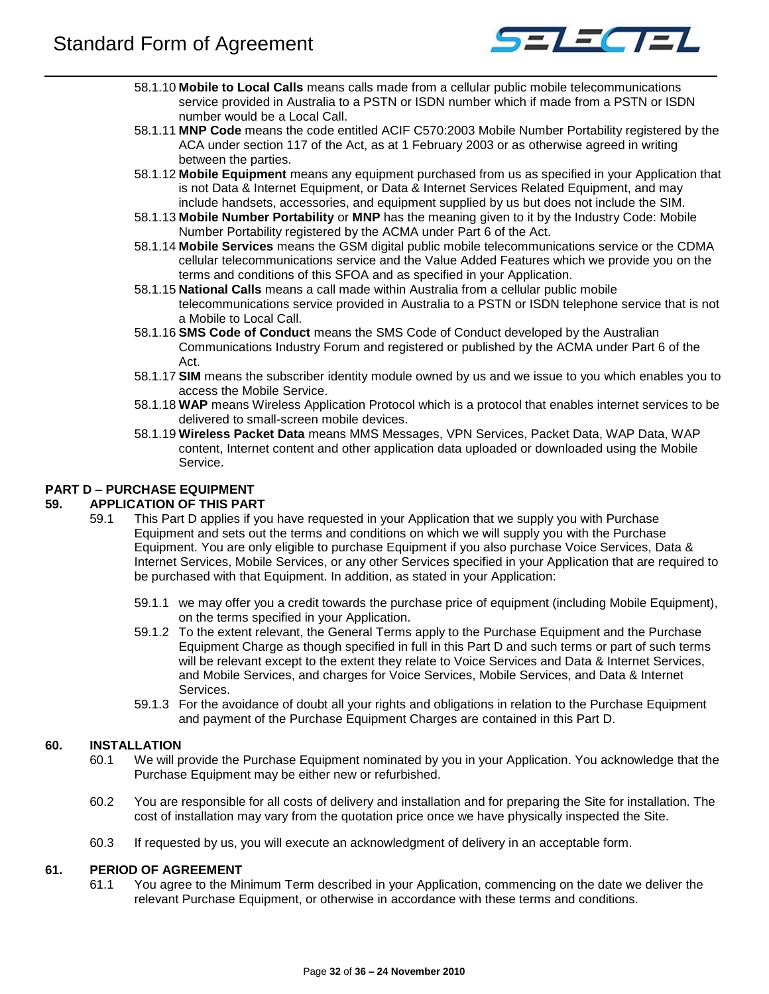

- 58.1.10 **Mobile to Local Calls** means calls made from a cellular public mobile telecommunications service provided in Australia to a PSTN or ISDN number which if made from a PSTN or ISDN number would be a Local Call.
- 58.1.11 **MNP Code** means the code entitled ACIF C570:2003 Mobile Number Portability registered by the ACA under section 117 of the Act, as at 1 February 2003 or as otherwise agreed in writing between the parties.
- 58.1.12 **Mobile Equipment** means any equipment purchased from us as specified in your Application that is not Data & Internet Equipment, or Data & Internet Services Related Equipment, and may include handsets, accessories, and equipment supplied by us but does not include the SIM.
- 58.1.13 **Mobile Number Portability** or **MNP** has the meaning given to it by the Industry Code: Mobile Number Portability registered by the ACMA under Part 6 of the Act.
- 58.1.14 **Mobile Services** means the GSM digital public mobile telecommunications service or the CDMA cellular telecommunications service and the Value Added Features which we provide you on the terms and conditions of this SFOA and as specified in your Application.
- 58.1.15 **National Calls** means a call made within Australia from a cellular public mobile telecommunications service provided in Australia to a PSTN or ISDN telephone service that is not a Mobile to Local Call.
- 58.1.16 **SMS Code of Conduct** means the SMS Code of Conduct developed by the Australian Communications Industry Forum and registered or published by the ACMA under Part 6 of the Act.
- 58.1.17 **SIM** means the subscriber identity module owned by us and we issue to you which enables you to access the Mobile Service.
- 58.1.18 **WAP** means Wireless Application Protocol which is a protocol that enables internet services to be delivered to small-screen mobile devices.
- 58.1.19 **Wireless Packet Data** means MMS Messages, VPN Services, Packet Data, WAP Data, WAP content, Internet content and other application data uploaded or downloaded using the Mobile Service.

# <span id="page-31-0"></span>**PART D – PURCHASE EQUIPMENT**

## <span id="page-31-1"></span>**59. APPLICATION OF THIS PART**

- 59.1 This Part D applies if you have requested in your Application that we supply you with Purchase Equipment and sets out the terms and conditions on which we will supply you with the Purchase Equipment. You are only eligible to purchase Equipment if you also purchase Voice Services, Data & Internet Services, Mobile Services, or any other Services specified in your Application that are required to be purchased with that Equipment. In addition, as stated in your Application:
	- 59.1.1 we may offer you a credit towards the purchase price of equipment (including Mobile Equipment), on the terms specified in your Application.
	- 59.1.2 To the extent relevant, the General Terms apply to the Purchase Equipment and the Purchase Equipment Charge as though specified in full in this Part D and such terms or part of such terms will be relevant except to the extent they relate to Voice Services and Data & Internet Services, and Mobile Services, and charges for Voice Services, Mobile Services, and Data & Internet Services.
	- 59.1.3 For the avoidance of doubt all your rights and obligations in relation to the Purchase Equipment and payment of the Purchase Equipment Charges are contained in this Part D.

## <span id="page-31-2"></span>**60. INSTALLATION**

- 60.1 We will provide the Purchase Equipment nominated by you in your Application. You acknowledge that the Purchase Equipment may be either new or refurbished.
- 60.2 You are responsible for all costs of delivery and installation and for preparing the Site for installation. The cost of installation may vary from the quotation price once we have physically inspected the Site.
- 60.3 If requested by us, you will execute an acknowledgment of delivery in an acceptable form.

## <span id="page-31-3"></span>**61. PERIOD OF AGREEMENT**

61.1 You agree to the Minimum Term described in your Application, commencing on the date we deliver the relevant Purchase Equipment, or otherwise in accordance with these terms and conditions.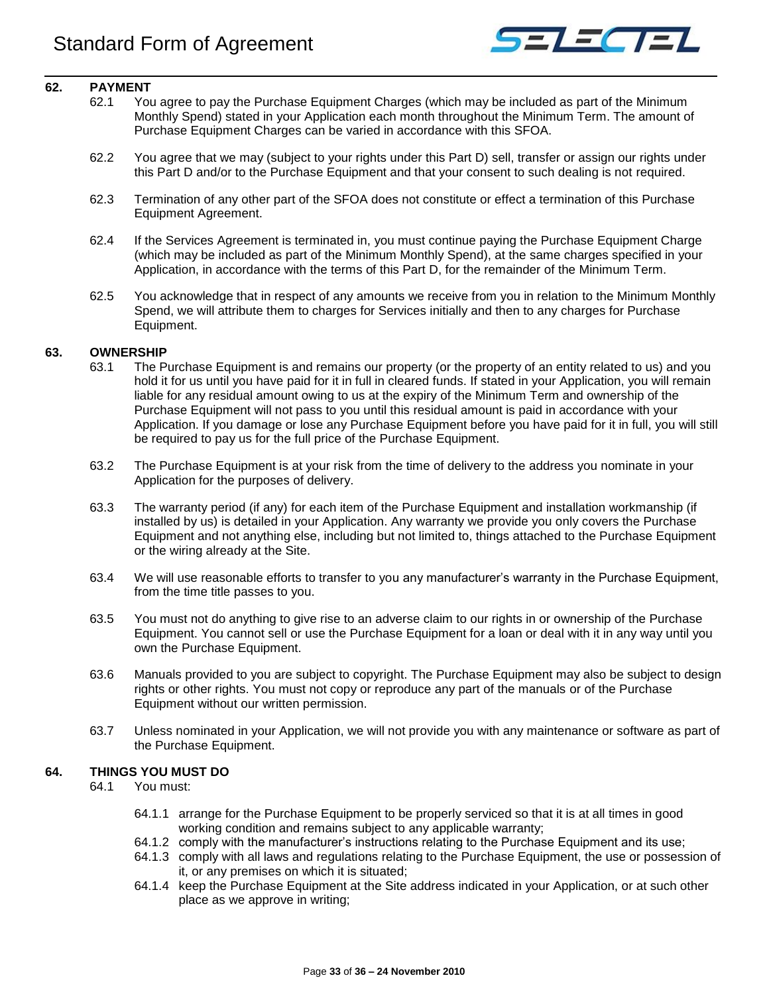

## <span id="page-32-0"></span>**62. PAYMENT**

- 62.1 You agree to pay the Purchase Equipment Charges (which may be included as part of the Minimum Monthly Spend) stated in your Application each month throughout the Minimum Term. The amount of Purchase Equipment Charges can be varied in accordance with this SFOA.
- 62.2 You agree that we may (subject to your rights under this Part D) sell, transfer or assign our rights under this Part D and/or to the Purchase Equipment and that your consent to such dealing is not required.
- 62.3 Termination of any other part of the SFOA does not constitute or effect a termination of this Purchase Equipment Agreement.
- 62.4 If the Services Agreement is terminated in, you must continue paying the Purchase Equipment Charge (which may be included as part of the Minimum Monthly Spend), at the same charges specified in your Application, in accordance with the terms of this Part D, for the remainder of the Minimum Term.
- 62.5 You acknowledge that in respect of any amounts we receive from you in relation to the Minimum Monthly Spend, we will attribute them to charges for Services initially and then to any charges for Purchase Equipment.

## <span id="page-32-1"></span>**63. OWNERSHIP**

- 63.1 The Purchase Equipment is and remains our property (or the property of an entity related to us) and you hold it for us until you have paid for it in full in cleared funds. If stated in your Application, you will remain liable for any residual amount owing to us at the expiry of the Minimum Term and ownership of the Purchase Equipment will not pass to you until this residual amount is paid in accordance with your Application. If you damage or lose any Purchase Equipment before you have paid for it in full, you will still be required to pay us for the full price of the Purchase Equipment.
- 63.2 The Purchase Equipment is at your risk from the time of delivery to the address you nominate in your Application for the purposes of delivery.
- 63.3 The warranty period (if any) for each item of the Purchase Equipment and installation workmanship (if installed by us) is detailed in your Application. Any warranty we provide you only covers the Purchase Equipment and not anything else, including but not limited to, things attached to the Purchase Equipment or the wiring already at the Site.
- 63.4 We will use reasonable efforts to transfer to you any manufacturer's warranty in the Purchase Equipment, from the time title passes to you.
- 63.5 You must not do anything to give rise to an adverse claim to our rights in or ownership of the Purchase Equipment. You cannot sell or use the Purchase Equipment for a loan or deal with it in any way until you own the Purchase Equipment.
- 63.6 Manuals provided to you are subject to copyright. The Purchase Equipment may also be subject to design rights or other rights. You must not copy or reproduce any part of the manuals or of the Purchase Equipment without our written permission.
- 63.7 Unless nominated in your Application, we will not provide you with any maintenance or software as part of the Purchase Equipment.

## <span id="page-32-2"></span>**64. THINGS YOU MUST DO**

64.1 You must:

- 64.1.1 arrange for the Purchase Equipment to be properly serviced so that it is at all times in good working condition and remains subject to any applicable warranty;
- 64.1.2 comply with the manufacturer's instructions relating to the Purchase Equipment and its use;
- 64.1.3 comply with all laws and regulations relating to the Purchase Equipment, the use or possession of it, or any premises on which it is situated;
- 64.1.4 keep the Purchase Equipment at the Site address indicated in your Application, or at such other place as we approve in writing;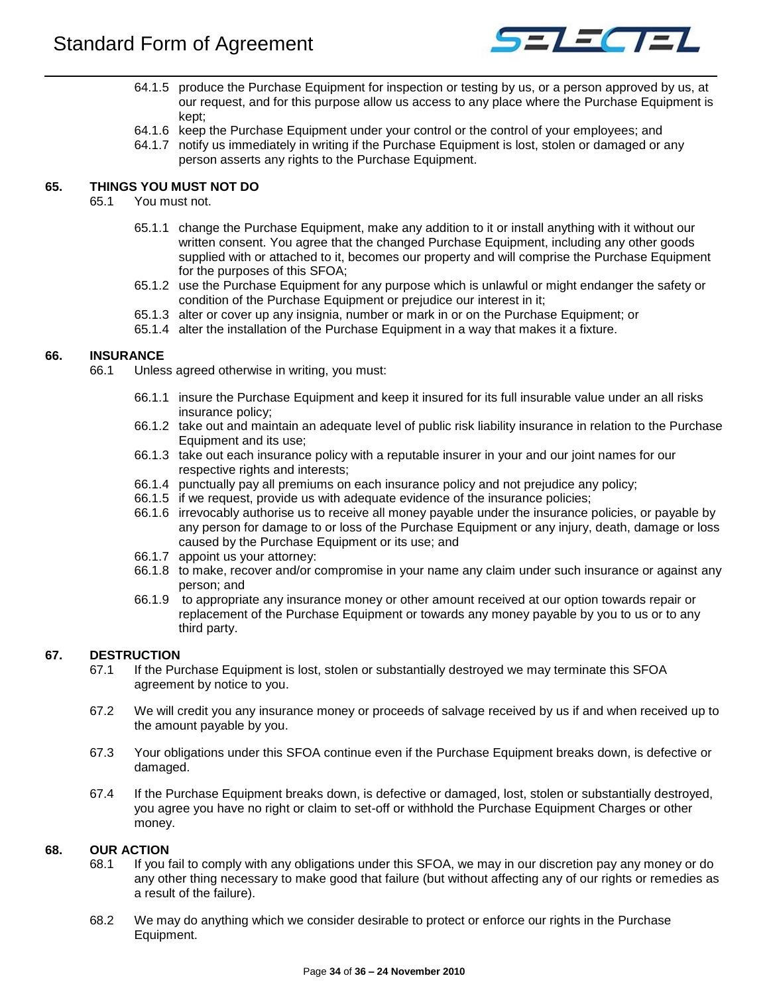

- 64.1.5 produce the Purchase Equipment for inspection or testing by us, or a person approved by us, at our request, and for this purpose allow us access to any place where the Purchase Equipment is kept;
- 64.1.6 keep the Purchase Equipment under your control or the control of your employees; and
- 64.1.7 notify us immediately in writing if the Purchase Equipment is lost, stolen or damaged or any person asserts any rights to the Purchase Equipment.

# <span id="page-33-0"></span>**65. THINGS YOU MUST NOT DO**

- 65.1 You must not.
	- 65.1.1 change the Purchase Equipment, make any addition to it or install anything with it without our written consent. You agree that the changed Purchase Equipment, including any other goods supplied with or attached to it, becomes our property and will comprise the Purchase Equipment for the purposes of this SFOA;
	- 65.1.2 use the Purchase Equipment for any purpose which is unlawful or might endanger the safety or condition of the Purchase Equipment or prejudice our interest in it;
	- 65.1.3 alter or cover up any insignia, number or mark in or on the Purchase Equipment; or
	- 65.1.4 alter the installation of the Purchase Equipment in a way that makes it a fixture.

## <span id="page-33-1"></span>**66. INSURANCE**

- 66.1 Unless agreed otherwise in writing, you must:
	- 66.1.1 insure the Purchase Equipment and keep it insured for its full insurable value under an all risks insurance policy;
	- 66.1.2 take out and maintain an adequate level of public risk liability insurance in relation to the Purchase Equipment and its use;
	- 66.1.3 take out each insurance policy with a reputable insurer in your and our joint names for our respective rights and interests;
	- 66.1.4 punctually pay all premiums on each insurance policy and not prejudice any policy;
	- 66.1.5 if we request, provide us with adequate evidence of the insurance policies;
	- 66.1.6 irrevocably authorise us to receive all money payable under the insurance policies, or payable by any person for damage to or loss of the Purchase Equipment or any injury, death, damage or loss caused by the Purchase Equipment or its use; and
	- 66.1.7 appoint us your attorney:
	- 66.1.8 to make, recover and/or compromise in your name any claim under such insurance or against any person; and
	- 66.1.9 to appropriate any insurance money or other amount received at our option towards repair or replacement of the Purchase Equipment or towards any money payable by you to us or to any third party.

## <span id="page-33-2"></span>**67. DESTRUCTION**

- 67.1 If the Purchase Equipment is lost, stolen or substantially destroyed we may terminate this SFOA agreement by notice to you.
- 67.2 We will credit you any insurance money or proceeds of salvage received by us if and when received up to the amount payable by you.
- 67.3 Your obligations under this SFOA continue even if the Purchase Equipment breaks down, is defective or damaged.
- 67.4 If the Purchase Equipment breaks down, is defective or damaged, lost, stolen or substantially destroyed, you agree you have no right or claim to set-off or withhold the Purchase Equipment Charges or other money.

## <span id="page-33-3"></span>**68. OUR ACTION**

- 68.1 If you fail to comply with any obligations under this SFOA, we may in our discretion pay any money or do any other thing necessary to make good that failure (but without affecting any of our rights or remedies as a result of the failure).
- 68.2 We may do anything which we consider desirable to protect or enforce our rights in the Purchase Equipment.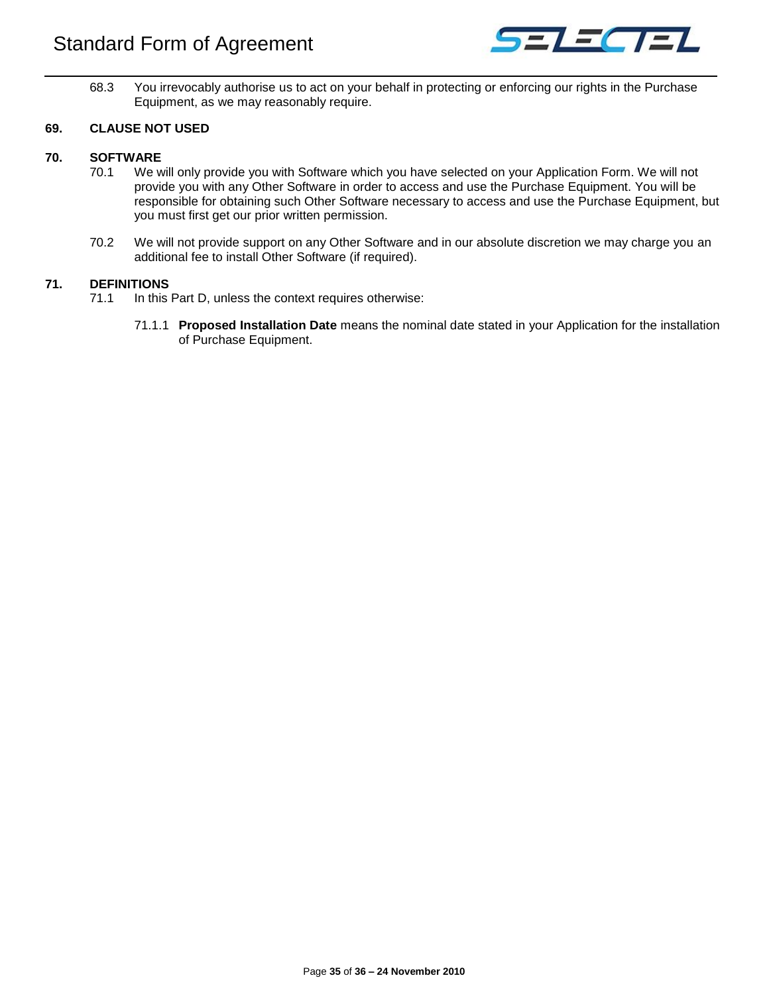

68.3 You irrevocably authorise us to act on your behalf in protecting or enforcing our rights in the Purchase Equipment, as we may reasonably require.

## <span id="page-34-0"></span>**69. CLAUSE NOT USED**

## <span id="page-34-1"></span>**70. SOFTWARE**

- 70.1 We will only provide you with Software which you have selected on your Application Form. We will not provide you with any Other Software in order to access and use the Purchase Equipment. You will be responsible for obtaining such Other Software necessary to access and use the Purchase Equipment, but you must first get our prior written permission.
- 70.2 We will not provide support on any Other Software and in our absolute discretion we may charge you an additional fee to install Other Software (if required).

## <span id="page-34-2"></span>**71. DEFINITIONS**

- 71.1 In this Part D, unless the context requires otherwise:
	- 71.1.1 **Proposed Installation Date** means the nominal date stated in your Application for the installation of Purchase Equipment.